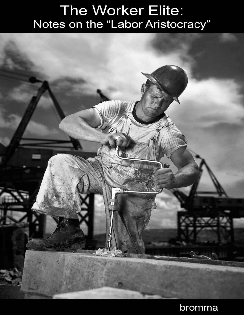# The Worker Elite: Notes on the "Labor Aristocracy"



## bromma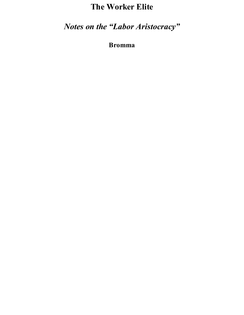## **The Worker Elite**

*Notes on the "Labor Aristocracy"*

**Bromma**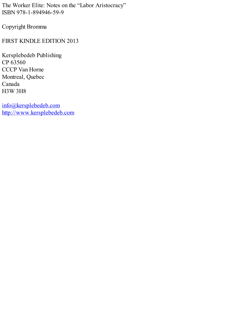The Worker Elite: Notes on the "Labor Aristocracy" ISBN 978-1-894946-59-9

Copyright Bromma

FIRST KINDLE EDITION 2013

Kersplebedeb Publishing CP 63560 CCCP Van Horne Montreal, Quebec Canada H3W 3H8

[info@kersplebedeb.com](mailto:info@kersplebedeb.com) <http://www.kersplebedeb.com>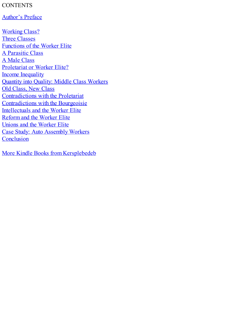## **CONTENTS**

## [Author's](#page-3-0) Preface

**[Working](#page-5-0) Class?** Three [Classes](#page-5-1) [Functions](#page-7-0) of the Worker Elite A [Parasitic](#page-9-0) Class A Male [Class](#page-12-0) [Proletariat](#page-13-0) or Worker Elite? Income [Inequality](#page-14-0) Quantity into Quality: Middle Class [Workers](#page-17-0) Old [Class,](#page-20-0) New Class [Contradictions](#page-25-0) with the Proletariat [Contradictions](#page-28-0) with the Bourgeoisie [Intellectuals](#page-31-0) and the Worker Elite [Reform](#page-32-0) and the Worker Elite Unions and the [Worker](#page-33-0) Elite Case Study: Auto [Assembly](#page-34-0) Workers **[Conclusion](#page-38-0)** 

<span id="page-3-0"></span>More Kindle Books from [Kersplebedeb](#page-39-0)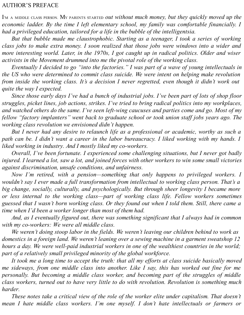#### AUTHOR'S PREFACE

I'M <sup>A</sup> MIDDLE CLASS PERSON. M<sup>Y</sup> PARENTS STARTED *out without much money, but they quickly moved up the economic ladder. By the time I left elementary school, my family was comfortable financially. I had a privileged education, tailored for a life in the bubble of the intelligentsia.*

*But that bubble made me claustrophobic. Starting as a teenager, I took a series of working class jobs to make extra money. I soon realized that those jobs were windows into a wider and more interesting world. Later, in the 1970s, I got caught up in radical politics. Older and wiser activists in the Movement drummed into me the pivotal role of the working class.*

*Eventually I decided to go "into the factories." I was part of a wave of young intellectuals in the US who were determined to commit class suicide. We were intent on helping make revolution from inside the working class. It's a decision I never regretted, even though it didn't work out quite the way I expected.*

Since those early days I've had a bunch of industrial jobs. I've been part of lots of shop floor *struggles, picket lines, job actions, strikes. I've tried to bring radical politics into my workplaces, and watched others do the same. I've seen left-wing caucuses and parties come and go. Most of my fellow "factory implanters" went back to graduate school or took union staf jobs years ago. The working class revolution we envisioned didn't happen.*

*But I never had any desire to relaunch life as a professional or academic, worthy as such a* path can be. I didn't want a career in the labor bureaucracy. I liked working with my hands. I *liked working in industry. And I mostly liked my co-workers.*

*Overall, I've been fortunate. I experienced some challenging situations, but I never got badly* injured. I learned a lot, saw a lot, and joined forces with other workers to win some small victories *against discrimination, unsafe conditions, and unfairness.*

*Now I'm retired, with a pension—something that only happens to privileged workers. I wouldn't say I ever made a full transformation from intellectual to working class person. That's a big change, socially, culturally, and psychologically. But through sheer longevity I became more or less internal to the working class—part of working class life. Fellow workers sometimes* guessed that I wasn't born working class. Or they found out when I told them. Still, there came a *time when I'd been a worker longer than most of them had.*

*And, as I eventually figured out, there was something significant that I always had in common with my co-workers: We were all middle class.*

*We weren't doing stoop labor in the fields. We weren't leaving our children behind to work as domestics in a foreign land. We weren't leaning over a sewing machine in a garment sweatshop 12 hours a day. We were well-paid industrial workers in one of the wealthiest countries in the world; part of a relatively small privileged minority of the global workforce.*

It took me a long time to accept the truth: that all my efforts at class suicide basically moved *me sideways, from one middle class into another. Like I say, this has worked out fine for me personally. But becoming a middle class worker, and becoming part of the struggles of middle class workers, turned out to have very little to do with revolution. Revolution is something much harder.*

*These notes take a critical view of the role of the worker elite under capitalism. That doesn't mean I hate middle class workers. I'm one myself. I don't hate intellectuals or farmers or*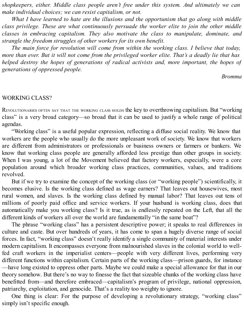*shopkeepers, either. Middle class people aren't free under this system. And ultimately we can make individual choices; we can resist capitalism, or not.*

*What I have learned to hate are the illusions and the opportunism that go along with middle class privilege. These are what continuously persuade the worker elite to join the other middle classes in embracing capitalism. They also motivate the class to manipulate, dominate, and strangle the freedom struggles of other workers for its own benefit.*

*The main force for revolution will come from within the working class. I believe that today,* more than ever. But it will not come from the privileged worker elite. That's a deadly lie that has *helped destroy the hopes of generations of radical activists and, more important, the hopes of generations of oppressed people.*

#### *Bromma*

#### <span id="page-5-0"></span>WORKING CLASS?

REVOLUTIONARIES OFTEN SAY THAT THE WORKING CLASS HOLDS the key to overthrowing capitalism. But "working class" is a very broad category—so broad that it can be used to justify a whole range of political agendas.

"Working class" is a useful popular expression, reflecting a diffuse social reality. We know that workers are the people who usually do the more unpleasant work of society. We know that workers are different from administrators or professionals or business owners or farmers or bankers. We know that working class people are generally afforded less prestige than other groups in society. When I was young, a lot of the Movement believed that factory workers, especially, were a core population around which broader working class practices, communities, values, and traditions revolved.

But if we try to examine the concept of the working class (or "working people") scientifically, it becomes elusive. Is the working class defined as wage earners? That leaves out housewives, most rural women, and slaves. Is the working class defined by manual labor? That leaves out tens of millions of poorly paid office and service workers. If your husband is working class, does that automatically make you working class? Is it true, as is endlessly repeated on the Left, that all the different kinds of workers all over the world are fundamentally "in the same boat"?

The phrase "working class" has a persistent descriptive power; it speaks to real differences in culture and caste. But over hundreds of years, it has come to span a hugely diverse range of social forces. In fact, "working class" doesn't really identify a single community of material interests under modern capitalism. It encompasses everyone from malnourished slaves in the colonial world to wellfed craft workers in the imperialist centers—people with very different lives, performing very different functions within capitalism. Certain parts of the working class—prison guards, for instance —have long existed to oppress other parts. Maybe we could make a special allowance for that in our theory somehow. But there's no way to finesse the fact that sizeable chunks of the working class have benefitted from—and therefore embraced—capitalism's program of privilege, national oppression, patriarchy, exploitation, and genocide. That's a reality too weighty to ignore.

<span id="page-5-1"></span>One thing is clear: For the purpose of developing a revolutionary strategy, "working class" simply isn't specific enough.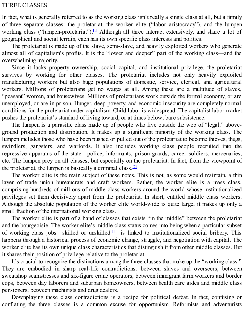#### THREE CLASSES

<span id="page-6-0"></span>In fact, what is generally referred to as the working class isn't really a single class at all, but a family of three separate classes: the proletariat, the worker elite ("labor aristocracy"), and the lumpen working class ("lumpen-proletariat").<sup>[\[1\]](#page-42-0)</sup> Although all three interact extensively, and share a lot of geographical and social terrain, each has its own specific class interests and politics.

The proletariat is made up of the slave, semi-slave, and heavily exploited workers who generate almost all of capitalism's profits. It is the "lower and deeper" part of the working class—and the overwhelming majority.

Since it lacks property ownership, social capital, and institutional privilege, the proletariat survives by working for other classes. The proletariat includes not only heavily exploited manufacturing workers but also huge populations of domestic, service, clerical, and agricultural workers. Millions of proletarians get no wages at all. Among these are a multitude of slaves, "peasant" women, and housewives. Millions of proletarians work outside the formal economy, or are unemployed, or are in prison. Hunger, deep poverty, and economic insecurity are completely normal conditions for the proletariat under capitalism. Child labor is widespread. The capitalist labor market pushes the proletariat's standard of living toward, or at times below, bare subsistence.

The lumpen is a parasitic class made up of people who live outside the web of "legal," aboveground production and distribution. It makes up a significant minority of the working class. The lumpen includes those who have been pushed or pulled out of the proletariat to become thieves, thugs, swindlers, gangsters, and warlords. It also includes working class people recruited into the repressive apparatus of the state—police, informants, prison guards, career soldiers, mercenaries, etc. The lumpen prey on all classes, but especially on the proletariat. In fact, from the viewpoint of the proletariat, the lumpen is basically a criminal class.<sup>[\[2\]](#page-42-1)</sup>

<span id="page-6-1"></span>The worker elite is the main subject of these notes. This is not, as some would maintain, a thin layer of trade union bureaucrats and craft workers. Rather, the worker elite is a mass class, comprising hundreds of millions of middle class workers around the world whose institutionalized privileges set them decisively apart from the proletariat. In short, entitled middle class workers. Although the absolute population of the worker elite world-wide is quite large, it makes up only a small fraction of the international working class.

<span id="page-6-2"></span>The worker elite is part of a band of classes that exists "in the middle" between the proletariat and the bourgeoisie. The worker elite's middle class status comes into being when a particular subset of working class jobs—skilled or unskilled<sup>[\[3\]](#page-42-2)</sup>—is linked to institutionalized social bribery. This happens through a historical process of economic change, struggle, and negotiation with capital. The worker elite has its own unique class characteristics that distinguish it from other middle classes. But it shares their position of privilege relative to the proletariat.

It's crucial to recognize the distinctions among the three classes that make up the "working class." They are embodied in sharp real-life contradictions: between slaves and overseers, between sweatshop seamstresses and six-figure crane operators, between immigrant farm workers and border cops, between day laborers and suburban homeowners, between health care aides and middle class pensioners, between machinists and drug dealers.

Downplaying these class contradictions is a recipe for political defeat. In fact, confusing or conflating the three classes is a common excuse for opportunism. Reformists and adventurists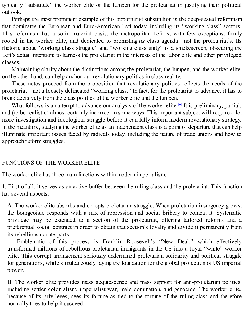typically "substitute" the worker elite or the lumpen for the proletariat in justifying their political outlook.

Perhaps the most prominent example of this opportunist substitution is the deep-seated reformism that dominates the European and Euro-American Left today, including its "working class" sectors. This reformism has a solid material basis: the metropolitan Left is, with few exceptions, firmly rooted in the worker elite, and dedicated to promoting *its* class agenda—not the proletariat's. Its rhetoric about "working class struggle" and "working class unity" is a smokescreen, obscuring the Left's actual intention: to harness the proletariat in the interests of the labor elite and other privileged classes.

Maintaining clarity about the distinctions among the proletariat, the lumpen, and the worker elite, on the other hand, can help anchor our revolutionary politics in class reality.

These notes proceed from the proposition that revolutionary politics reflects the needs of the proletariat—not a loosely delineated "working class." In fact, for the proletariat to advance, it has to break decisively from the class politics of the worker elite and the lumpen.

<span id="page-7-1"></span>What follows is an attempt to advance our analysis of the worker elite.<sup>[\[4\]](#page-42-3)</sup> It is preliminary, partial, and (to be realistic) almost certainly incorrect in some ways. This important subject will require a lot more investigation and ideological struggle before it can fully inform modern revolutionary strategy. In the meantime, studying the worker elite as an independent class is a point of departure that can help illuminate important issues faced by radicals today, including the nature of trade unions and how to approach reform struggles.

#### <span id="page-7-0"></span>FUNCTIONS OF THE WORKER ELITE

The worker elite has three main functions within modern imperialism.

1. First of all, it serves as an active buffer between the ruling class and the proletariat. This function has several aspects:

A. The worker elite absorbs and co-opts proletarian struggle. When proletarian insurgency grows, the bourgeoisie responds with a mix of repression and social bribery to combat it. Systematic privilege may be extended to a section of the proletariat, offering tailored reforms and a preferential social contract in order to obtain that section's loyalty and divide it permanently from its rebellious counterparts.

Emblematic of this process is Franklin Roosevelt's "New Deal," which effectively transformed millions of rebellious proletarian immigrants in the US into a loyal "white" worker elite. This corrupt arrangement seriously undermined proletarian solidarity and political struggle for generations, while simultaneously laying the foundation for the global projection of US imperial power.

B. The worker elite provides mass acquiescence and mass support for anti-proletarian politics, including settler colonialism, imperialist war, male domination, and genocide. The worker elite, because of its privileges, sees its fortune as tied to the fortune of the ruling class and therefore normally tries to help it succeed.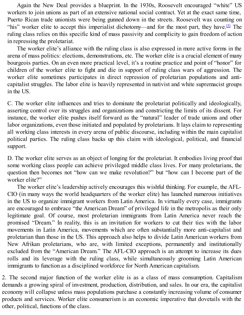Again the New Deal provides a blueprint. In the 1930s, Roosevelt encouraged "white" US workers to join unions as part of an extensive national social contract. Yet at the exact same time, Puerto Rican trade unionists were being gunned down in the streets. Roosevelt was counting on "his" worker elite to accept this imperialist dichotomy—and for the most part, they have.<sup>[\[5\]](#page-42-4)</sup> The ruling class relies on this specific kind of mass passivity and complicity to gain freedom of action in repressing the proletariat.

<span id="page-8-0"></span>The worker elite's alliance with the ruling class is also expressed in more active forms in the arena of mass politics: elections, demonstrations, etc. The worker elite is a crucial element of many bourgeois parties. On an even more practical level, it's a routine practice and point of "honor" for children of the worker elite to fight and die in support of ruling class wars of aggression. The worker elite sometimes participates in direct repression of proletarian populations and anticapitalist struggles. The labor elite is heavily represented in nativist and white supremacist groups in the US.

C. The worker elite influences and tries to dominate the proletariat politically and ideologically, asserting control over its struggles and organizations and constricting the limits of its dissent. For instance, the worker elite pushes itself forward as the "natural" leader of trade unions and other labor organizations, even those initiated and populated by proletarians. It lays claim to representing all working class interests in every arena of public discourse, including within the main capitalist political parties. The ruling class backs up this claim with ideological, political, and financial support.

D. The worker elite serves as an object of longing for the proletariat. It embodies living proof that some working class people can achieve privileged middle class lives. For many proletarians, the question then becomes not "how can we make revolution?" but "how can I become part of the worker elite?"

The worker elite's leadership actively encourages this wishful thinking. For example, the AFL-CIO (in many ways the world headquarters of the worker elite) has launched numerous initiatives in the US to organize immigrant workers from Latin America. In virtually every case, immigrants are encouraged to embrace "the American Dream" of privileged life in the metropolis as their only legitimate goal. Of course, most proletarian immigrants from Latin America never reach the promised "Dream." In reality, this is an invitation for workers to cut their ties with the labor movements in Latin America, movements which are often substantially more anti-capitalist and proletarian than those in the US. This approach also helps to divide Latin American workers from New Afrikan proletarians, who are, with limited exceptions, permanently and institutionally excluded from the "American Dream." The AFL-CIO approach is an attempt to increase its dues rolls and its leverage with the ruling class, while simultaneously grooming Latin American immigrants to function as a disciplined workforce for North American capitalism.

2. The second major function of the worker elite is as a class of mass consumption. Capitalism demands a growing spiral of investment, production, distribution, and sales. In our era, the capitalist economy will collapse unless mass populations purchase a constantly increasing volume of consumer products and services. Worker elite consumerism is an economic imperative that dovetails with the other, political, functions of the class.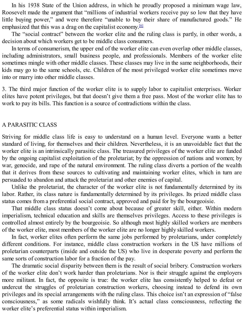In his 1938 State of the Union address, in which he proudly proposed a minimum wage law, Roosevelt made the argument that "millions of industrial workers receive pay so low that they have little buying power," and were therefore "unable to buy their share of manufactured goods." He emphasized that this was a drag on the capitalist economy.<sup>[\[6\]](#page-42-5)</sup>

<span id="page-9-1"></span>The "social contract" between the worker elite and the ruling class is partly, in other words, a decision about which workers get to be middle class consumers.

In terms of consumerism, the upper end of the worker elite can even overlap other middle classes, including administrators, small business people, and professionals. Members of the worker elite sometimes mingle with other middle classes. These classes may live in the same neighborhoods, their kids may go to the same schools, etc. Children of the most privileged worker elite sometimes move into or marry into other middle classes.

3. The third major function of the worker elite is to supply labor to capitalist enterprises. Worker elites have potent privileges, but that doesn't give them a free pass. Most of the worker elite has to work to pay its bills. This function is a source of contradictions within the class.

#### <span id="page-9-0"></span>A PARASITIC CLASS

Striving for middle class life is easy to understand on a human level. Everyone wants a better standard of living, for themselves and their children. Nevertheless, it is an unavoidable fact that the worker elite is an intrinsically parasitic class. The treasured privileges of the worker elite are funded by the ongoing capitalist exploitation of the proletariat; by the oppression of nations and women; by war, genocide, and rape of the natural environment. The ruling class diverts a portion of the wealth that it derives from these sources to cultivating and maintaining worker elites, which in turn are persuaded to abandon and attack the proletariat and other enemies of capital.

Unlike the proletariat, the character of the worker elite is not fundamentally determined by its labor. Rather, its class nature is fundamentally determined by its privileges. Its prized middle class status comes from a preferential social contract, approved and paid for by the bourgeoisie.

That middle class status doesn't come about because of greater skill, either. Within modern imperialism, technical education and skills are themselves privileges. Access to these privileges is controlled almost entirely by the bourgeoisie. So although most highly skilled workers are members of the worker elite, most members of the worker elite are no longer highly skilled workers.

In fact, worker elites often perform the same jobs performed by proletarians, under completely different conditions. For instance, middle class construction workers in the US have millions of proletarian counterparts (inside and outside the US) who live in desperate poverty and perform the same sorts of construction labor for a fraction of the pay.

The dramatic social disparity between them is the result of social bribery. Construction workers of the worker elite don't work harder than proletarians. Nor is their struggle against the employers more militant. In fact, the opposite is true: the worker elite has consistently helped to defeat or undercut the struggles of proletarian construction workers, choosing instead to defend its own privileges and its special arrangements with the ruling class. This choice isn't an expression of "false consciousness," as some radicals wishfully think. It's actual class consciousness, reflecting the worker elite's preferential status within imperialism.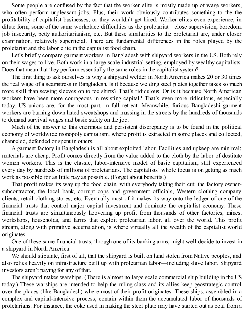Some people are confused by the fact that the worker elite is mostly made up of wage workers, who often perform unpleasant jobs. Plus, their work obviously contributes something to the the profitability of capitalist businesses, or they wouldn't get hired. Worker elites even experience, in dilute form, some of the same workplace difficulties as the proletariat—close supervision, boredom, job insecurity, petty authoritarianism, etc. But these similarities to the proletariat are, under closer examination, relatively superficial. There are fundamental differences in the roles played by the proletariat and the labor elite in the capitalist food chain.

Let's briefly compare garment workers in Bangladesh with shipyard workers in the US. Both rely on their wages to live. Both work in a large scale industrial setting, employed by wealthy capitalists. Does that mean that they perform essentially the same roles in the capitalist system?

The first thing to ask ourselves is why a shipyard welder in North America makes 20 or 30 times the real wage of a seamstress in Bangladesh. Is it because welding steel plates together takes so much more skill than sewing sleeves on to tee shirts? That's ridiculous. Or is it because North American workers have been more courageous in resisting capital? That's even more ridiculous, especially today. US unions are, for the most part, in full retreat. Meanwhile, furious Bangladeshi garment workers are burning down hated sweatshops and massing in the streets by the hundreds of thousands to demand survival wages and basic safety on the job.

Much of the answer to this enormous and persistent discrepancy is to be found in the political economy of worldwide monopoly capitalism, where profit is extracted in some places and collected, channeled, defended or spent in others.

A garment factory in Bangladesh is all about exploited labor. Facilities and upkeep are minimal; materials are cheap. Profit comes directly from the value added to the cloth by the labor of destitute women workers. This is the classic, labor-intensive model of basic capitalism, still experienced every day by hundreds of millions of proletarians. The capitalists' whole focus is on getting as much work as possible for as little pay as possible. (Forget about benefits.)

That profit makes its way up the food chain, with everybody taking their cut: the factory ownersubcontractor, the local bank, corrupt cops and government officials, Western clothing company clients, retail clothing stores, etc. Eventually most of it makes its way onto the ledger of one of the financial trusts that control major capital investment and dominate the capitalist economy. These financial trusts are simultaneously hoovering up profit from thousands of other factories, mines, workshops, households, and farms that exploit proletarian labor, all over the world. This profit stream, along with primitive accumulation, is where virtually all the wealth of the capitalist world originates.

One of these same financial trusts, through one of its banking arms, might well decide to invest in a shipyard in North America.

We should stipulate, first of all, that the shipyard is built on land stolen from Native peoples, and also relies heavily on infrastructure built up with proletarian labor—including slave labor. Shipyard investors aren't paying for any of that.

The shipyard makes warships. (There is almost no large scale commercial ship building in the US today.) These warships are intended to help the ruling class and its allies keep geostrategic control over the places (like Bangladesh) where most of their profit originates. These ships, assembled in a complex and capital-intensive process, contain within them the accumulated labor of thousands of proletarians. For instance, the coke used in making the steel plate may have started out as coal from a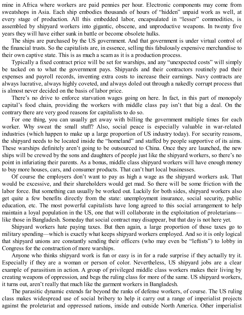mine in Africa where workers are paid pennies per hour. Electronic components may come from sweatshops in Asia. Each ship embodies thousands of hours of "hidden" unpaid work as well, at every stage of production. All this embedded labor, encapsulated in "lesser" commodities, is assembled by shipyard workers into gigantic, obscene, and unproductive weapons. In twenty five years they will have either sunk in battle or become obsolete hulks.

The ships are purchased by the US government. And that government is under virtual control of the financial trusts. So the capitalists are, in essence, selling this fabulously expensive merchandise to their own captive state. This is as much a scam as it is a production process.

Typically a fixed contract price will be set for warships, and any "unexpected costs" will simply be tacked on to what the government pays. Shipyards and their contractors routinely pad their expenses and payroll records, inventing extra costs to increase their earnings. Navy contracts are always lucrative, always highly coveted, and always doled out through a nakedly corrupt process that is almost never decided on the basis of labor price.

There's no drive to enforce starvation wages going on here. In fact, in this part of monopoly capital's food chain, providing the workers with middle class pay isn't that big a deal. On the contrary there are very good reasons for capitalists to do so.

For one thing, you can usually get away with billing the government multiple times for each worker. Why sweat the small stuff? Also, social peace is especially valuable in war-related industries (which happen to make up a large proportion of US industry today). For security reasons, the shipyard needs to be located inside the "homeland" and staffed by people supportive of its aims. These warships definitely aren't going to be outsourced to China. Once they are launched, the new ships will be crewed by the sons and daughters of people just like the shipyard workers, so there's no point in infuriating their parents. As a bonus, middle class shipyard workers will have enough money to buy more houses, cars, and consumer products. That can't hurt local businesses.

Of course the employers don't want to pay as high a wage as the shipyard workers ask. That would be excessive, and their shareholders would get mad. So there will be some friction with the labor force. But something can usually be worked out. Luckily for both sides, shipyard workers also get quite a few benefits directly from the state: unemployment insurance, social security, public education, etc. The most powerful capitalists have long agreed to this social arrangement to help maintain a loyal population in the US, one that will collaborate in the exploitation of proletarians like those in Bangladesh. Someday that social contract may disappear, but that day is not here yet.

Shipyard workers hate paying taxes. But then again, a large proportion of those taxes go to military spending—which is exactly what keeps shipyard workers employed. And so it is only logical that shipyard unions are constantly sending their officers (who may even be "leftists") to lobby in Congress for the construction of more warships.

Anyone who thinks shipyard work is fun or easy is in for a rude surprise if they actually try it. Especially if they are a woman or person of color. Nevertheless, US shipyard jobs are a clear example of parasitism in action. A group of privileged middle class workers makes their living by creating weapons of oppression, and begs the ruling class for more of the same. US shipyard workers, it turns out, aren't really that much like the garment workers in Bangladesh.

The parasitic dynamic extends far beyond the ranks of defense workers, of course. The US ruling class makes widespread use of social bribery to help it carry out a range of imperialist projects against the proletariat and oppressed nations, inside and outside North America. Other imperialist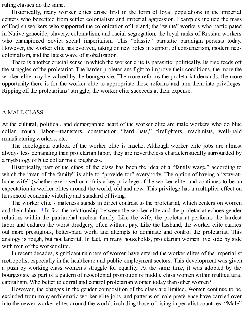ruling classes do the same.

Historically, many worker elites arose first in the form of loyal populations in the imperial centers who benefited from settler colonialism and imperial aggression. Examples include the mass of English workers who supported the colonization of Ireland; the "white" workers who participated in Native genocide, slavery, colonialism, and racial segregation; the loyal ranks of Russian workers who championed Soviet social imperialism. This "classic" parasitic paradigm persists today. However, the worker elite has evolved, taking on new roles in support of consumerism, modern neocolonialism, and the latest wave of globalization.

There is another crucial sense in which the worker elite is parasitic: politically. Its rise feeds off the struggles of the proletariat. The harder proletarians fight to improve their conditions, the more the worker elite may be valued by the bourgeoisie. The more reforms the proletariat demands, the more opportunity there is for the worker elite to appropriate those reforms and turn them into privileges. Ripping off the proletarians' struggle, the worker elite succeeds at their expense.

#### <span id="page-12-0"></span>A MALE CLASS

At the cultural, political, and demographic heart of the worker elite are male workers who do blue collar manual labor—teamsters, construction "hard hats," firefighters, machinists, well-paid manufacturing workers, etc.

The ideological outlook of the worker elite is macho. Although worker elite jobs are almost always less demanding than proletarian labor, they are nevertheless characteristically surrounded by a mythology of blue collar male toughness.

Historically, part of the ethos of the class has been the idea of a "family wage," according to which the "man of the family" is able to "provide for" everybody. The option of having a "stay-athome wife" (whether exercised or not) is a key privilege of the worker elite, and continues to be an expectation in worker elites around the world, old and new. This privilege has a multiplier effect on household economic viability and standard of living.

<span id="page-12-1"></span>The worker elite's maleness stands in direct contrast to the proletariat, which centers on women and their labor.<sup>[\[7\]](#page-42-6)</sup> In fact the relationship between the worker elite and the proletariat echoes gender relations within the patriarchal nuclear family. Like the wife, the proletariat performs the hardest labor and endures the worst drudgery, often without pay. Like the husband, the worker elite carries out more prestigious, better-paid work, and attempts to dominate and control the proletariat. This analogy is rough, but not fanciful. In fact, in many households, proletarian women live side by side with men of the worker elite.

In recent decades, significant numbers of women have entered the worker elites of the imperialist metropolis, especially in the healthcare and public employment sectors. This development was given a push by working class women's struggle for equality. At the same time, it was adopted by the bourgeoisie as part of a pattern of neocolonial promotion of middle class women within multicultural capitalism. Who better to corral and control proletarian women today than other women?

However, the changes in the gender composition of the class are limited. Women continue to be excluded from many emblematic worker elite jobs, and patterns of male preference have carried over into the newer worker elites around the world, including those of rising imperialist countries. "Male"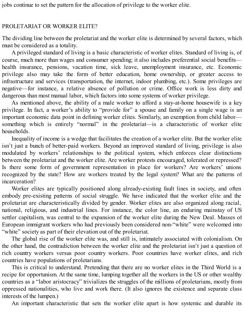<span id="page-13-0"></span>jobs continue to set the pattern for the allocation of privilege to the worker elite.

### PROLETARIAT OR WORKER ELITE?

The dividing line between the proletariat and the worker elite is determined by several factors, which must be considered as a totality.

A privileged standard of living is a basic characteristic of worker elites. Standard of living is, of course, much more than wages and consumer spending; it also includes preferential social benefits health insurance, pensions, vacation time, sick leave, unemployment insurance, etc. Economic privilege also may take the form of better education, home ownership, or greater access to infrastructure and services (transportation, the internet, indoor plumbing, etc.). Some privileges are negative—for instance, a relative absence of pollution or crime. Office work is less dirty and dangerous than most manual labor, which factors into some systems of worker privilege.

As mentioned above, the ability of a male worker to afford a stay-at-home housewife is a key privilege. In fact, a worker's ability to "provide for" a spouse and family on a single wage is an important economic data point in defining worker elites. Similarly, an exemption from child labor something which is entirely "normal" in the proletariat—is a characteristic of worker elite households.

Inequality of income is a wedge that facilitates the creation of a worker elite. But the worker elite isn't just a bunch of better-paid workers. Beyond an improved standard of living, privilege is also modulated by workers' relationships to the political system, which enforces clear distinctions between the proletariat and the worker elite. Are worker protests encouraged, tolerated or repressed? Is there some form of government representation in place for workers? Are workers' unions recognized by the state? How are workers treated by the legal system? What are the patterns of incarceration?

Worker elites are typically positioned along already-existing fault lines in society, and often embody pre-existing patterns of social struggle. We have indicated that the worker elite and the proletariat are characteristically divided by gender. Worker elites are also organized along racial, national, religious, and industrial lines. For instance, the color line, an enduring mainstay of US settler capitalism, was central to the expansion of the worker elite during the New Deal. Masses of European immigrant workers who had previously been considered non-"white" were welcomed into "white" society as part of their elevation out of the proletariat.

The global rise of the worker elite was, and still is, intimately associated with colonialism. On the other hand, the contradiction between the worker elite and the proletariat isn't just a question of rich country workers versus poor country workers. Poor countries have worker elites, and rich countries have populations of proletarians.

This is critical to understand. Pretending that there are no worker elites in the Third World is a recipe for opportunism. At the same time, lumping together all the workers in the US or other wealthy countries as a "labor aristocracy" trivializes the struggles of the millions of proletarians, mostly from oppressed nationalities, who live and work there. (It also ignores the existence and separate class interests of the lumpen.)

An important characteristic that sets the worker elite apart is how systemic and durable its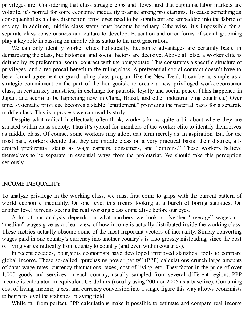privileges are. Considering that class struggle ebbs and flows, and that capitalist labor markets are volatile, it's normal for some economic inequality to arise among proletarians. To cause something as consequential as a class distinction, privileges need to be significant and embedded into the fabric of society. In addition, middle class status must become hereditary. Otherwise, it's impossible for a separate class consciousness and culture to develop. Education and other forms of social grooming play a key role in passing on middle class status to the next generation.

We can only identify worker elites holistically. Economic advantages are certainly basic in demarcating the class, but historical and social factors are decisive. Above all else, a worker elite is defined by its preferential social contract with the bourgeoisie. This constitutes a specific structure of privileges, and a reciprocal benefit to the ruling class. A preferential social contract doesn't have to be a formal agreement or grand ruling class program like the New Deal. It can be as simple as a strategic commitment on the part of the bourgeoisie to create a new privileged worker/consumer class, in certain key industries, in exchange for patriotic loyalty and social peace. (This happened in Japan, and seems to be happening now in China, Brazil, and other industrializing countries.) Over time, systematic privilege becomes a stable "entitlement," providing the material basis for a separate middle class. This is a process we can readily study.

Despite what radical intellectuals often think, workers know quite a bit about where they are situated within class society. Thus it's typical for members of the worker elite to identify themselves as middle class. Of course, some workers may adopt that term merely as an aspiration. But for the most part, workers decide that they are middle class on a very practical basis: their distinct, allaround preferential status as wage earners, consumers, and "citizens." These workers believe themselves to be separate in essential ways from the proletariat. We should take this perception seriously.

#### <span id="page-14-0"></span>INCOME INEQUALITY

To analyze privilege in the working class, we must first come to grips with the current pattern of world economic inequality. On one level this means looking at a bunch of boring statistics. On another level it means seeing the real working class come alive before our eyes.

A lot of our analysis depends on what numbers we look at. Neither "average" wages nor "median" wages give us a clear view of how income is actually distributed inside the working class. These metrics actually obscure some of the most important vectors of inequality. Simply converting wages paid in one country's currency into another country's is also grossly misleading, since the cost of living varies radically from country to country (and even within countries).

In recent decades, bourgeois economists have developed improved statistical tools to compare global income. These so-called "purchasing power parity" (PPP) calculations crunch large amounts of data: wage rates, currency fluctuations, taxes, cost of living, etc. They factor in the price of over 1,000 goods and services in each country, usually sampled from several different regions. PPP income is calculated in equivalent US dollars (usually using 2005 or 2006 as a baseline). Combining cost of living, income, taxes, and currency conversion into a single figure this way allows economists to begin to level the statistical playing field.

While far from perfect, PPP calculations make it possible to estimate and compare real income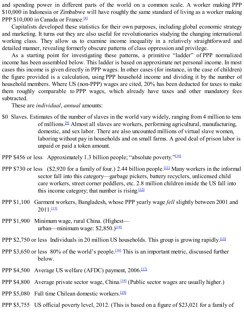and spending power in different parts of the world on a common scale. A worker making PPP \$10,000 in Indonesia or Zimbabwe will have roughly the same standard of living as a worker making PPP \$10,000 in Canada or France.<sup>[\[8\]](#page-42-7)</sup>

<span id="page-15-0"></span>Capitalists developed these statistics for their own purposes, including global economic strategy and marketing. It turns out they are also useful for revolutionaries studying the changing international working class. They allow us to examine income inequality in a relatively straightforward and detailed manner, revealing formerly obscure patterns of class oppression and privilege.

As a starting point for investigating these patterns, a primitive "ladder" of PPP normalized income has been assembled below. This ladder is based on approximate net personal income. In most cases this income is given directly in PPP wages. In other cases (for instance, in the case of children) the figure provided is a calculation, using PPP household income and dividing it by the number of household members. Where US (non-PPP) wages are cited, 20% has been deducted for taxes to make them roughly comparable to PPP wages, which already have taxes and other mandatory fees subtracted.

<span id="page-15-2"></span><span id="page-15-1"></span>These are *individual*, *annual* amounts:

\$0 Slaves. Estimates of the number of slaves in the world vary widely, ranging from 4 million to tens of millions.<sup>[\[9\]](#page-42-8)</sup> Almost all slaves are workers, performing agricultural, manufacturing, domestic, and sex labor. There are also uncounted millions of virtual slave women, laboring without pay in households and on small farms. A good deal of prison labor is unpaid or paid a token amount.

PPP \$456 or less Approximately 1.3 billion people; "absolute poverty."<sup>[\[10\]](#page-42-9)</sup>

- <span id="page-15-3"></span>PPP \$730 or less  $$2,920$  for a family of four.) 2.44 billion people.<sup>[\[11\]](#page-42-10)</sup> Many workers in the informal sector fall into this category—garbage pickers, battery recyclers, unlicensed child care workers, street corner peddlers, etc. 2.8 million children inside the US fall into this income category; that number is rising. $[12]$
- <span id="page-15-5"></span><span id="page-15-4"></span>PPP \$1,100 Garment workers, Bangladesh, whose PPP yearly wage *fell* slightly between 2001 and  $2011.$ <sup> $[13]$ </sup>
- <span id="page-15-6"></span>PPP \$1,900 Minimum wage, rural China. (Highest— urban—minimum wage: \$2,850.)<sup>[\[14\]](#page-43-1)</sup>
- <span id="page-15-7"></span>PPP \$2,750 or less Individuals in 20 million US households. This group is growing rapidly.<sup>[\[15\]](#page-43-2)</sup>
- <span id="page-15-8"></span>PPP \$3,650 or less 80% of the world's people.<sup>[\[16\]](#page-43-3)</sup> This is an important metric, discussed further below.
- <span id="page-15-9"></span>PPP \$4,500 Average US welfare (AFDC) payment, 2006.<sup>[\[17\]](#page-43-4)</sup>
- <span id="page-15-10"></span>PPP \$4,800 Average private sector wage, China.<sup>[\[18\]](#page-43-5)</sup> (Public sector wages are usually higher.)
- <span id="page-15-11"></span>PPP \$5,080 Full time Chilean domestic workers.<sup>[\[19\]](#page-43-6)</sup>
- PPP \$5,755 US official poverty level, 2012. (This is based on a figure of \$23,021 for a family of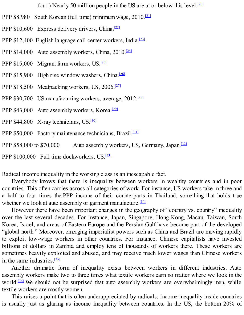<span id="page-16-7"></span><span id="page-16-6"></span><span id="page-16-5"></span><span id="page-16-4"></span><span id="page-16-3"></span><span id="page-16-2"></span><span id="page-16-1"></span><span id="page-16-0"></span>four.) Nearly 50 million people in the US are at or below this level.<sup>[\[20\]](#page-43-7)</sup>

- PPP \$8,980 South Korean (full time) minimum wage, 2010.<sup>[\[21\]](#page-43-8)</sup>
- PPP \$10,600 Express delivery drivers, China.<sup>[\[22\]](#page-43-9)</sup>
- PPP \$12,400 English language call center workers, India.<sup>[\[23\]](#page-43-10)</sup>
- PPP \$14,000 Auto assembly workers, China, 2010.<sup>[\[24\]](#page-43-11)</sup>
- PPP \$15,000 Migrant farm workers, US.<sup>[\[25\]](#page-43-12)</sup>
- PPP \$15,900 High rise window washers, China.<sup>[\[26\]](#page-43-13)</sup>
- PPP \$18,500 Meatpacking workers, US, 2006.<sup>[\[27\]](#page-43-14)</sup>
- <span id="page-16-8"></span>PPP \$30,700 US manufacturing workers, average, 2012.<sup>[\[28\]](#page-43-15)</sup>
- <span id="page-16-9"></span>PPP \$43,000 Auto assembly workers, Korea.<sup>[\[29\]](#page-43-16)</sup>
- <span id="page-16-10"></span>PPP \$44,800 X-ray technicians, US.<sup>[\[30\]](#page-43-17)</sup>
- <span id="page-16-11"></span>PPP \$50,000 Factory maintenance technicians, Brazil.<sup>[\[31\]](#page-43-18)</sup>

<span id="page-16-12"></span>PPP \$58,000 to \$70,000 Auto assembly workers, US, Germany, Japan.<sup>[\[32\]](#page-43-19)</sup>

<span id="page-16-13"></span>PPP \$100,000 Full time dockworkers, US.<sup>[\[33\]](#page-43-20)</sup>

Radical income inequality in the working class is an inescapable fact.

Everybody knows that there is inequality between workers in wealthy countries and in poor countries. This often carries across all categories of work. For instance, US workers take in three and a half to four times the PPP income of their counterparts in Thailand, something that holds true whether we look at auto assembly or garment manufacture.<sup>[\[34\]](#page-44-0)</sup>

<span id="page-16-14"></span>However there have been important changes in the geography of "country vs. country" inequality over the last several decades. For instance, Japan, Singapore, Hong Kong, Macau, Taiwan, South Korea, Israel, and areas of Eastern Europe and the Persian Gulf have become part of the developed "global north." Moreover, emerging imperialist powers such as China and Brazil are moving rapidly to exploit low-wage workers in other countries. For instance, Chinese capitalists have invested billions of dollars in Zambia and employ tens of thousands of workers there. These workers are sometimes heavily exploited and abused, and may receive much lower wages than Chinese workers in the same industries. [\[35\]](#page-44-1)

<span id="page-16-16"></span><span id="page-16-15"></span>Another dramatic form of inequality exists between workers in different industries. Auto assembly workers make two to three times what textile workers earn no matter where we look in the world.<sup>[\[36\]](#page-44-2)</sup> We should not be surprised that auto assembly workers are overwhelmingly men, while textile workers are mostly women.

This raises a point that is often underappreciated by radicals: income inequality inside countries is usually just as glaring as income inequality between countries. In the US, the bottom 20% of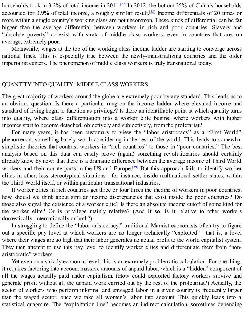<span id="page-17-2"></span><span id="page-17-1"></span>households took in 3.2% of total income in 2011.<sup>[\[37\]](#page-44-3)</sup> In 2012, the bottom 25% of China's households accounted for 3.9% of total income, a roughly similar result.<sup>[\[38\]](#page-44-4)</sup> Income differentials of 20 times or more within a single country's working class are not uncommon. These kinds of differential can be far bigger than the average differential between workers in rich and poor countries. Slavery and "absolute poverty" co-exist with strata of middle class workers, even in countries that are, on average, extremely poor.

Meanwhile, wages at the top of the working class income ladder are starting to converge across national lines. This is especially true between the newly-industrializing countries and the older imperialist centers. The phenomenon of middle class workers is truly transnational today.

#### <span id="page-17-0"></span>QUANTITY INTO QUALITY: MIDDLE CLASS WORKERS

The great majority of workers around the globe are extremely poor by any standard. This leads us to an obvious question: Is there a particular rung on the income ladder where elevated income and standard of living begin to function as privilege? Is there an identifiable point at which quantity turns into quality, where class differentiation into a worker elite begins; where workers with higher incomes start to become detached, objectively and subjectively, from the proletariat?

For many years, it has been customary to view the "labor aristocracy" as a "First World" phenomenon, something barely worth considering in the rest of the world. This leads to somewhat simplistic theories that contrast workers in "rich countries" to those in "poor countries." The best analysis based on this data can easily prove (again) something revolutionaries should certainly already know by now: that there is a dramatic difference between the average income of Third World workers and their counterparts in the US and Europe.<sup>[\[39\]](#page-44-5)</sup> But this approach fails to identify worker elites in other, less stereotypical situations—for instance, inside multinational settler states, within the Third World itself, or within particular transnational industries.

<span id="page-17-3"></span>If worker elites in rich countries get three or four times the income of workers in poor countries, how should we think about similar income discrepancies that exist inside the poor countries? Do those also signal the existence of a worker elite? Is there an absolute income cutoff of some kind for the worker elite? Or is privilege mainly relative? (And if so, is it relative to other workers domestically, internationally or both?)

In struggling to define the "labor aristocracy," traditional Marxist economists often try to figure out a specific pay level at which workers are no longer technically "exploited"—that is, a level where their wages are so high that their labor generates no actual profit to the world capitalist system. They then attempt to use this pay level to identify worker elites and differentiate them from "nonaristocratic" workers.

Yet even on a strictly economic level, this is an extremely problematic calculation. For one thing, it requires factoring into account massive amounts of unpaid labor, which is a "hidden" component of all the wages actually paid under capitalism. (How could exploited factory workers survive and generate profit without all the unpaid work carried out by the rest of the proletariat?) Actually, the sector of workers who perform informal and unwaged labor in a given country is frequently larger than the waged sector, once we take all women's labor into account. This quickly leads into a statistical quagmire. The "exploitation line" becomes an indirect calculation, sometimes depending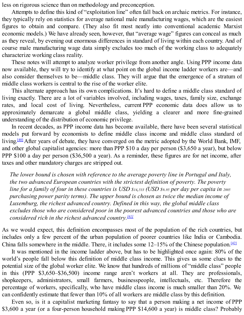less on rigorous science than on methodology and preconception.

Attempts to define this kind of "exploitation line" often fall back on archaic metrics. For instance, they typically rely on statistics for average national male manufacturing wages, which are the easiest figures to obtain and compare. (They also fit most neatly into conventional academic Marxist economic models.) We have already seen, however, that "average wage" figures can conceal as much as they reveal, by evening out enormous differences in standard of living within each country. And of course male manufacturing wage data simply excludes too much of the working class to adequately characterize working class reality.

These notes will attempt to analyze worker privilege from another angle. Using PPP income data now available, they will try to identify at what point on the global income ladder workers are—and also consider themselves to be—middle class. They will argue that the emergence of a stratum of middle class workers is central to the rise of the worker elite.

This alternate approach has its own complications. It's hard to define a middle class standard of living exactly. There are a lot of variables involved, including wages, taxes, family size, exchange rates, and local cost of living. Nevertheless, current PPP economic data does allow us to approximately demarcate a global middle class, yielding a clearer and more fine-grained understanding of the distribution of economic privilege.

<span id="page-18-0"></span>In recent decades, as PPP income data has become available, there have been several statistical models put forward by economists to define middle class income and middle class standard of living.<sup>[\[40\]](#page-44-6)</sup> After years of debate, they have converged on the metric adopted by the World Bank, IMF, and other global capitalist agencies: more than PPP \$10 a day per person (\$3,650 a year), but below PPP \$100 a day per person (\$36,500 a year). As a reminder, these figures are for net income, after taxes and other mandatory charges are stripped out.

<span id="page-18-1"></span>*The lower bound is chosen with reference to the average poverty line in Portugal and Italy, the two advanced European countries with the strictest definition of poverty. The poverty* line for a family of four in these countries is USD  $$14,533$  (USD  $$9.95$  per day per capita in 2005 *purchasing power parity terms). The upper bound is chosen as twice the median income of Luxemburg, the richest advanced country. Defined in this way, the global middle class excludes those who are considered poor in the poorest advanced countries and those who are considered rich in the richest advanced country. [\[41\]](#page-44-7)*

As we would expect, this definition encompasses most of the population of the rich countries, but includes only a few percent of the urban population of poorer countries like India or Cambodia. China falls somewhere in the middle. There, it includes some  $12-15%$  of the Chinese population.<sup>[\[42\]](#page-44-8)</sup>

<span id="page-18-2"></span>It was mentioned in the income ladder above, but has to be highlighted once again: 80% of the world's people fall below this definition of middle class income. This gives us some clues to the potential size of the global worker elite. We know that hundreds of millions of "middle class" people in this (PPP \$3,650–\$36,500) income range aren't workers at all. They are professionals, shopkeepers, administrators, small farmers, businesspeople, intellectuals, etc. Therefore the percentage of workers, specifically, who have middle class income is much smaller than 20%. We can confidently estimate that fewer than 10% of all workers are middle class by this definition.

Even so, is it a capitalist marketing fantasy to say that a person making a net income of PPP \$3,600 a year (or a four-person household making PPP \$14,600 a year) is middle class? Probably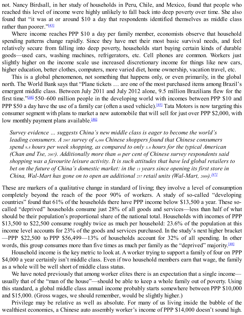not. Nancy Birdsall, in her study of households in Peru, Chile, and Mexico, found that people who reached this level of income were highly unlikely to fall back into deep poverty over time. She also found that "it was at or around \$10 a day that respondents identified themselves as middle class rather than poorer."<sup>[\[43\]](#page-44-9)</sup>

<span id="page-19-0"></span>Where income reaches PPP \$10 a day per family member, economists observe that household spending patterns change rapidly. Since they have met their most basic survival needs, and feel relatively secure from falling into deep poverty, households start buying certain kinds of durable goods—used cars, washing machines, refrigerators, etc. Cell phones are common. Workers just slightly higher on the income scale use increased discretionary income for things like new cars, higher education, better clothes, computers, more varied diet, home ownership, vacation travel, etc.

<span id="page-19-1"></span>This is a global phenomenon, not something that happens only, or even primarily, in the global north. The World Bank says that "Plane tickets … are one of the most purchased items among Brazil's emergent middle class. Between July 2011 and July 2012 alone, 9.5 million Brazilians flew for the first time."<sup>[\[44\]](#page-44-10)</sup> 550–600 million people in the developing world with incomes between PPP \$10 and PPP \$50 a day have the use of a family car (often a used vehicle).<sup>[\[45\]](#page-44-11)</sup> Tata Motors is now targeting this consumer segment with plans to market a new automobile that will sell for just over PPP \$2,000, with low monthly payment plans available.<sup>[\[46\]](#page-44-12)</sup>

<span id="page-19-4"></span><span id="page-19-3"></span><span id="page-19-2"></span>*Survey evidence … suggests China's new middle class is eager to become the world's leading consumers. A <sup>2007</sup> survey of <sup>6</sup>,<sup>000</sup> Chinese shoppers found that Chinese consumers* spend 9.8 hours per week shopping, as compared to only 3.6 hours for the typical American *(Chan and Tse, <sup>2007</sup>). Additionally more than <sup>40</sup> per cent of Chinese survey respondents said shopping was a favourite leisure activity. It is such attitudes that have led global retailers to bet on the future of China's domestic market: in the <sup>13</sup> years since opening its first store in China, Wal-Mart has gone on to open an additional <sup>257</sup> retail units (Wal-Mart, <sup>2009</sup>). [\[47\]](#page-45-0)*

These are markers of a qualitative change in standard of living; they involve a level of consumption completely beyond the reach of the poor 90% of workers. A study of so-called "developing countries" found that 61% of the households there have PPP income below \$13,500 a year. These socalled "deprived" households consume just 28% of all goods and services—less than half of what should be their population's proportional share of the national total. Households with incomes of PPP \$13,500 to \$22,500 consume roughly twice as much per household: 23.6% of the population at this income level accounts for 23% of the goods and services purchased. In the study's next higher bracket —PPP \$22,500 to PPP \$56,499—13% of households account for 32% of all spending. In other words, this group consumes more than five times as much per family as the "deprived" majority.<sup>[\[48\]](#page-45-1)</sup>

<span id="page-19-5"></span>Household income is the key metric to look at. A worker trying to support a family of four on PPP \$4,000 a year certainly isn't middle class. Even if two household members earn that wage, the family as a whole will be well short of middle class status.

We have noted previously that among worker elites there is an expectation that a single income usually that of the "man of the house"—should be able to keep a whole family out of poverty. Using this standard, a global middle class annual income probably starts somewhere between PPP \$10,000 and \$15,000. (Gross wages, we should remember, would be slightly higher.)

Privilege may be relative as well as absolute. For many of us living inside the bubble of the wealthiest economies, a Chinese auto assembly worker's income of PPP \$14,000 doesn't sound high.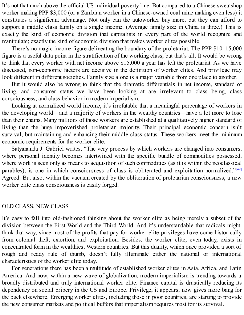It's not that much above the official US individual poverty line. But compared to a Chinese sweatshop worker making PPP \$3,000 (or a Zambian worker in a Chinese-owned coal mine making even less) it constitutes a significant advantage. Not only can the autoworker buy more, but they can afford to support a middle class family on a single income. (Average family size in China is three.) This is exactly the kind of economic division that capitalists in every part of the world recognize and manipulate; exactly the kind of economic division that makes worker elites possible.

There's no magic income figure delineating the boundary of the proletariat. The PPP \$10–15,000 figure is a useful data point in the stratification of the working class, but that's all. It would be wrong to think that every worker with net income above \$15,000 a year has left the proletariat. As we have discussed, non-economic factors are decisive in the definition of worker elites. And privilege may look different in different societies. Family size alone is a major variable from one place to another.

But it would also be wrong to think that the dramatic differentials in net income, standard of living, and consumer status we have been looking at are irrelevant to class being, class consciousness, and class behavior in modern imperialism.

Looking at normalized world income, it's irrefutable that a meaningful percentage of workers in the developing world—and a majority of workers in the wealthy countries—have a lot more to lose than their chains. Many millions of those workers are established at a qualitatively higher standard of living than the huge impoverished proletarian majority. Their principal economic concern isn't survival, but maintaining and enhancing their middle class status. These workers meet the minimum economic requirements for the worker elite.

<span id="page-20-1"></span>Satyananda J. Gabriel writes, "The very process by which workers are changed into consumers, where personal identity becomes intertwined with the specific bundle of commodities possessed, where work is seen only as means to acquisition of such commodities (as it is within the neoclassical parables), is one in which consciousness of class is obliterated and exploitation normalized."<sup>[\[49\]](#page-45-2)</sup> Agreed. But also, within the vacuum created by the obliteration of proletarian consciousness, a new worker elite class consciousness is easily forged.

#### <span id="page-20-0"></span>OLD CLASS, NEW CLASS

It's easy to fall into old-fashioned thinking about the worker elite as being merely a subset of the division between the First World and the Third World. And it's understandable that radicals might think that way, since most of the profits that pay for worker elite privileges have come historically from colonial theft, extortion, and exploitation. Besides, the worker elite, even today, exists in concentrated form in the wealthiest Western countries. But this duality, which once provided a sort of rough and ready rule of thumb, doesn't fully illuminate either the national or international characteristics of the worker elite today.

For generations there has been a multitude of established worker elites in Asia, Africa, and Latin America. And now, within a new wave of globalization, modern imperialism is trending towards a broadly distributed and truly international worker elite. Finance capital is drastically reducing its dependency on social bribery in the US and Europe. Privilege, it appears, now gives more bang for the buck elsewhere. Emerging worker elites, including those in poor countries, are starting to provide the new consumer markets and political buffers that imperialism requires most for its survival.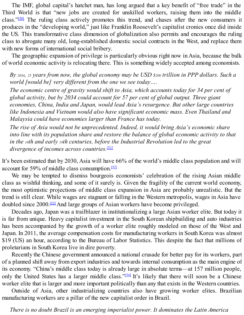<span id="page-21-0"></span>The IMF, global capital's hatchet man, has long argued that a key benefit of "free trade" in the Third World is that "new jobs are created for unskilled workers, raising them into the middle class."<sup>[\[50\]](#page-45-3)</sup> The ruling class actively promotes this trend, and chases after the new consumers it produces in the "developing world," just like Franklin Roosevelt's capitalist cronies once did inside the US. This transformative class dimension of globalization also permits and encourages the ruling class to abrogate many old, long-established domestic social contracts in the West, and replace them with new forms of international social bribery.

The geographic expansion of privilege is particularly obvious right now in Asia, because the bulk of world economic activity is relocating there. This is something widely accepted among economists.

By 2034, 25 years from now, the global economy may be USD \$200 trillion in PPP dollars. Such a *world [would be] very dif erent from the one we see today….*

*The economic centre of gravity would shift to Asia, which accounts today for 34 per cent of global activity, but by 2034 could account for 57 per cent of global output. Three giant economies, China, India and Japan, would lead Asia's resurgence. But other large countries like Indonesia and Vietnam would also have significant economic mass. Even Thailand and Malaysia could have economies larger than France has today.*

<span id="page-21-2"></span><span id="page-21-1"></span>*The rise of Asia would not be unprecedented. Indeed, it would bring Asia's economic share into line with its population share and restore the balance of global economic activity to that in the <sup>18</sup>th and early <sup>19</sup>th centuries, before the Industrial Revolution led to the great divergence of incomes across countries. [\[51\]](#page-45-4)*

It's been estimated that by 2030, Asia will have 66% of the world's middle class population and will account for 59% of middle class consumption.<sup>[\[52\]](#page-45-5)</sup>

We may be tempted to dismiss bourgeois economists' celebration of the rising Asian middle class as wishful thinking, and some of it surely is. Given the fragility of the current world economy, the most optimistic projections of middle class expansion in Asia are probably unrealistic. But the trend is still clear. While wages are stagnant or falling in the Western metropolis, wages in Asia have doubled since 2000. [\[53\]](#page-45-6) And large groups of Asian workers have become privileged.

<span id="page-21-3"></span>Decades ago, Japan was a trailblazer in institutionalizing a large Asian worker elite. But today it is far from unique. Heavy capitalist investment in the South Korean shipbuilding and auto industries has been accompanied by the growth of a worker elite roughly modeled on those of the West and Japan. In 2011, the average compensation costs for manufacturing workers in South Korea was almost \$19 (US) an hour, according to the Bureau of Labor Statistics. This despite the fact that millions of proletarians in South Korea live in dire poverty.

Recently the Chinese government announced a national crusade for better pay for its workers, part of a planned shift away from export industries and towards internal consumption as the main engine of its economy. "China's middle class today is already large in absolute terms—at 157 million people, only the United States has a larger middle class."<sup>[\[54\]](#page-45-7)</sup> It's likely that there will soon be a Chinese worker elite that is larger and more important politically than any that exists in the Western countries.

Outside of Asia, other industrializing countries also have growing worker elites. Brazilian manufacturing workers are a pillar of the new capitalist order in Brazil.

## <span id="page-21-4"></span>*There is no doubt Brazil is an emerging imperialist power. It dominates the Latin America*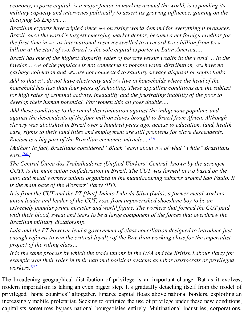*economy, exports capital, is a major factor in markets around the world, is expanding its military capacity and intervenes politically to assert its growing influence, gaining on the decaying US Empire….*

*Brazilian exports have tripled since <sup>2003</sup> on rising world demand for everything it produces. Brazil, once the world's largest emerging-market debtor, became a net foreign creditor for* the first time in 2011 as international reserves swelled to a record \$171.6 billion from \$37.6 *billion at the start of <sup>2003</sup>. Brazil is the sole capital exporter in Latin America….*

*Brazil has one of the highest disparity rates of poverty versus wealth in the world.… In the favelas… <sup>52</sup>% of the populace is not connected to potable water distribution, <sup>68</sup>% have no garbage collection and <sup>78</sup>% are not connected to sanitary sewage disposal or septic tanks.*

Add to that 25% do not have electricity and 74% live in households where the head of the *household has less than four years of schooling. These appalling conditions are the subtext for high rates of criminal activity, inequality and the frustrating inability of the poor to develop their human potential. For women this all goes double.…*

*Add these conditions to the racial discrimination against the indigenous populace and against the descendents of the four million slaves brought to Brazil from Africa. Although slavery was abolished in Brazil over a hundred years ago, access to education, land, health care, rights to their land titles and employment are still problems for slave descendents. Racism is a big part of the Brazilian economic miracle…. [\[55\]](#page-45-8)*

<span id="page-22-1"></span><span id="page-22-0"></span>*[Author: In fact, Brazilians considered "Black" earn about <sup>58</sup>% of what "white" Brazilians earn. [\[56\]](#page-45-9)]*

*The Central Única dos Trabalhadores (Unified Workers' Central, known by the acronym CUT), is the main union confederation in Brazil. The CUT was formed in <sup>1983</sup> based on the auto and metal workers unions organized in the manufacturing suburbs around Sao Paulo. It is the main base of the Workers' Party (PT).*

*It is from the CUT and the PT [that] Inácio Lula da Silva (Lula), a former metal workers union leader and leader of the CUT, rose from impoverished shoeshine boy to be an extremely popular prime minister and world figure. The workers that formed the CUT paid with their blood, sweat and tears to be a large component of the forces that overthrew the Brazilian military dictatorship.*

*Lula and the PT however lead a government of class conciliation designed to introduce just enough reforms to win the critical loyalty of the Brazilian working class for the imperialist project of the ruling class…*

<span id="page-22-2"></span>It is the same process by which the trade unions in the USA and the British Labour Party for *example won their roles in their national political systems as labor aristocrats or privileged workers. [\[57\]](#page-45-10)*

The broadening geographical distribution of privilege is an important change. But as it evolves, modern imperialism is taking an even bigger step. It's gradually detaching itself from the model of privileged "home countries" altogether. Finance capital floats above national borders, exploiting an increasingly mobile proletariat. Seeking to optimize the use of privilege under these new conditions, capitalists sometimes bypass national bourgeoisies entirely. Multinational industries, corporations,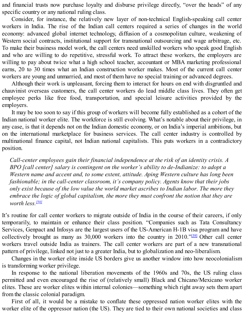and financial trusts now purchase loyalty and disburse privilege directly, "over the heads" of any specific country or any national ruling class.

Consider, for instance, the relatively new layer of non-technical English-speaking call center workers in India. The rise of the Indian call centers required a series of changes in the world economy: advanced global internet technology, diffusion of a cosmopolitan culture, weakening of Western social contracts, institutional support for transnational outsourcing and wage arbitrage, etc. To make their business model work, the call centers need unskilled workers who speak good English and who are willing to do repetitive, stressful work. To attract these workers, the employers are willing to pay about twice what a high school teacher, accountant or MBA marketing professional earns, 20 to 30 times what an Indian construction worker makes. Most of the current call center workers are young and unmarried, and most of them have no special training or advanced degrees.

Although their work is unpleasant, forcing them to interact for hours on end with disgruntled and chauvinist overseas customers, the call center workers do lead middle class lives. They often get employee perks like free food, transportation, and special leisure activities provided by the employers.

It may be too soon to say if this group of workers will become fully established as a cohort of the Indian national worker elite. The workforce is still evolving. What's notable about their privilege, in any case, is that it depends not on the Indian domestic economy, or on India's imperial ambitions, but on the international marketplace for business services. The call center industry is controlled by multinational finance capital, not Indian national capitalists. This puts workers in a contradictory position.

*Call-center employees gain their financial independence at the risk of an identity crisis. A BPO [call center] salary is contingent on the worker's ability to de-Indianize: to adopt a Western name and accent and, to some extent, attitude. Aping Western culture has long been fashionable; in the call-center classroom, it's company policy. Agents know that their jobs only exist because of the low value the world market ascribes to Indian labor. The more they embrace the logic of global capitalism, the more they must confront the notion that they are worth less. [\[58\]](#page-45-11)*

<span id="page-23-1"></span><span id="page-23-0"></span>It's routine for call center workers to migrate outside of India in the course of their careers, if only temporarily, to maintain or enhance their class position. "Companies such as Tata Consultancy Services, Genpact and Infosys are the largest users of the US-American H-1B visa program and have collectively brought as many as  $30,000$  workers into the country in  $2010.^{^{8591}}$  Other call center workers travel outside India as trainers. The call center workers are part of a new transnational pattern of privilege, linked not just to a greater India, but to globalization and neo-liberalism.

Changes in the worker elite inside US borders give us another window into how neocolonialism is transforming worker privilege.

In response to the national liberation movements of the 1960s and 70s, the US ruling class permitted and even encouraged the rise of (relatively small) Black and Chicano/Mexicano worker elites. These are worker elites within internal colonies—something which right away sets them apart from the classic colonial paradigm.

First of all, it would be a mistake to conflate these oppressed nation worker elites with the worker elite of the oppressor nation (the US). They are tied to their own national societies and class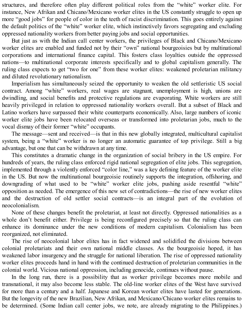structures, and therefore often play different political roles from the "white" worker elite. For instance, New Afrikan and Chicano/Mexicano worker elites in the US constantly struggle to open up more "good jobs" for people of color in the teeth of racist discrimination. This goes entirely against the default politics of the "white" worker elite, which instinctively favors segregating and excluding oppressed nationality workers from better paying jobs and social opportunities.

But just as with the Indian call center workers, the privileges of Black and Chicano/Mexicano worker elites are enabled and funded not by their "own" national bourgeoisies but by multinational corporations and international finance capital. This fosters class loyalties outside the oppressed nations—to multinational corporate interests specifically and to global capitalism generally. The ruling class expects to get "two for one" from these worker elites: weakened proletarian militancy and diluted revolutionary nationalism.

Imperialism has simultaneously seized the opportunity to weaken the old settleristic US social contract. Among "white" workers, real wages are stagnant, unemployment is high, unions are dwindling, and social benefits and protective regulations are evaporating. White workers are still heavily privileged in relation to oppressed nationality workers overall. But a subset of Black and Latino workers have surpassed their white counterparts economically. Also, large numbers of iconic worker elite jobs have been relocated overseas or transformed into proletarian jobs, much to the vocal dismay of their former "white" occupants.

The message—sent and received—is that in this new globally integrated, multicultural capitalist system, being a "white" worker is no longer an automatic guarantee of top privilege. Still a big advantage, but one that can be withdrawn at any time.

This constitutes a dramatic change in the organization of social bribery in the US empire. For hundreds of years, the ruling class enforced rigid national segregation of elite jobs. This segregation, implemented through a violently enforced "color line," was a key defining feature of the worker elite in the US. But now the multinational bourgeoisie routinely supports the integration, offshoring, and downgrading of what used to be "white" worker elite jobs, pushing aside resentful "white" opposition as needed. The emergence of this new set of contradictions—the rise of new worker elites and the destruction of old settler social contracts—is an integral part of the evolution of neocolonialism.

None of these changes benefit the proletariat, at least not directly. Oppressed nationalities as a whole don't benefit either. Privilege is being reconfigured precisely so that the ruling class can enhance its dominance under the new conditions of modern capitalism. Colonialism has been reorganized, not eliminated.

The rise of neocolonial labor elites has in fact widened and solidified the divisions between colonial proletariats and their own national middle classes. As the bourgeoisie hoped, it has weakened labor insurgency and the struggle for national liberation. The rise of oppressed nationality worker elites proceeds hand in hand with the continued destruction of proletarian communities in the colonial world. Vicious national oppression, including genocide, continues without pause.

In the long run, there is a possibility that as worker privilege becomes more mobile and transnational, it may also become less stable. The old-line worker elites of the West have survived for more than a century and a half. Japanese and Korean worker elites have lasted for generations. But the longevity of the new Brazilian, New Afrikan, and Mexicano/Chicano worker elites remains to be determined. (Some Indian call center jobs, we note, are already migrating to the Philippines.)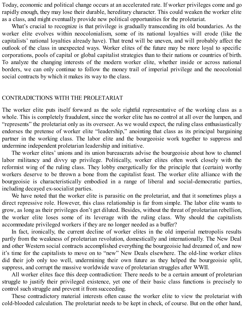Today, economic and political change occurs at an accelerated rate. If worker privileges come and go rapidly enough, they may lose their durable, hereditary character. This could weaken the worker elite as a class, and might eventually provide new political opportunities for the proletariat.

What's crucial to recognize is that privilege is gradually transcending its old boundaries. As the worker elite evolves within neocolonialism, some of its national loyalties will erode (like the capitalists' national loyalties already have). That trend will be uneven, and will probably affect the outlook of the class in unexpected ways. Worker elites of the future may be more loyal to specific corporations, pools of capital or global capitalist strategies than to their nations or countries of birth. To analyze the changing interests of the modern worker elite, whether inside or across national borders, we can only continue to follow the money trail of imperial privilege and the neocolonial social contracts by which it makes its way to the class.

#### <span id="page-25-0"></span>CONTRADICTIONS WITH THE PROLETARIAT

The worker elite puts itself forward as the sole rightful representative of the working class as a whole. This is completely fraudulent, since the worker elite has no control at all over the lumpen, and "represents" the proletariat only as its overseer. As we would expect, the ruling class enthusiastically endorses the pretense of worker elite "leadership," anointing that class as its principal bargaining partner in the working class. The labor elite and the bourgeoisie work together to suppress and undermine independent proletarian leadership and initiative.

The worker elites' unions and its union bureaucrats advise the bourgeoisie about how to channel labor militancy and divvy up privilege. Politically, worker elites often work closely with the reformist wing of the ruling class. They lobby energetically for the principle that (certain) worthy workers deserve to be thrown a bone from the capitalist feast. The worker elite alliance with the bourgeoisie is characteristically embodied in a range of liberal and social-democratic parties, including decayed ex-socialist parties.

We have noted that the worker elite is parasitic on the proletariat, and that it sometimes plays a direct repressive role. However, this class relationship is far from simple. The labor elite wants to grow, as long as their privileges don't get diluted. Besides, without the threat of proletarian rebellion, the worker elite loses some of its leverage with the ruling class. Why should the capitalists accommodate privileged workers if they are no longer needed as a buffer?

In fact, ironically, the current decline of worker elites in the old imperial metropolis results partly from the weakness of proletarian revolution, domestically and internationally. The New Deal and other Western social contracts accomplished everything the bourgeoisie had dreamed of, and now it's time for the capitalists to move on to "new" New Deals elsewhere. The old-line worker elites did their job only too well, undermining their own future as they helped the bourgeoisie split, suppress, and corrupt the massive worldwide wave of proletarian struggles after WWII.

All worker elites face this deep contradiction: There needs to be a certain amount of proletarian struggle to justify their privileged existence, yet one of their basic class functions is precisely to control such struggle and prevent it from succeeding.

These contradictory material interests often cause the worker elite to view the proletariat with cold-blooded calculation. The proletariat needs to be kept in check, of course. But on the other hand,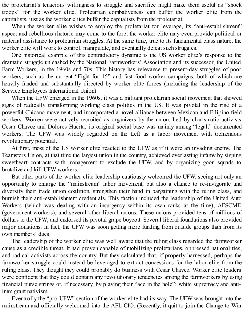the proletariat's tenacious willingness to struggle and sacrifice might make them useful as "shock troops" for the worker elite. Proletarian combativeness can buffer the worker elite from the capitalists, just as the worker elites buffer the capitalists from the proletariat.

When the worker elite wishes to employ the proletariat for leverage, its "anti-establishment" aspect and rebellious rhetoric may come to the fore; the worker elite may even provide political or material assistance to proletarian struggles. At the same time, true to its fundamental class nature, the worker elite will work to control, manipulate, and eventually defeat such struggles.

One historical example of this contradictory dynamic is the US worker elite's response to the dramatic struggle unleashed by the National Farmworkers' Association and its successor, the United Farm Workers, in the 1960s and 70s. This history has relevance to present-day struggles of poor workers, such as the current "Fight for 15" and fast food worker campaigns, both of which are heavily funded and substantially directed by worker elite forces (including the leadership of the Service Employees International Union).

When the UFW emerged in the 1960s, it was a militant proletarian social movement that showed signs of radically transforming working class politics in the US. It was pivotal in the rise of a powerful Chicano movement, and incorporated a novel alliance between Mexican and Filipino field workers. Women were actively recruited as organizers by the union. Led by charismatic activists Cesar Chavez and Dolores Huerta, its original social base was mainly among "legal," documented workers. The UFW was widely regarded on the Left as a labor movement with tremendous revolutionary potential.

At first, most of the US worker elite reacted to the UFW as if it were an invading enemy. The Teamsters Union, at that time the largest union in the country, achieved everlasting infamy by signing sweetheart contracts with management to exclude the UFW, and by organizing goon squads to brutalize and kill UFW workers.

But other parts of the worker elite leadership cautiously welcomed the UFW, seeing not only an opportunity to enlarge the "mainstream" labor movement, but also a chance to re-invigorate and diversify their trade union coalition, strengthen their hand in bargaining with the ruling class, and burnish their anti-establishment credentials. This faction included the leadership of the United Auto Workers (which was dealing with an insurgency within its own ranks at the time), AFSCME (government workers), and several other liberal unions. These unions provided tens of millions of dollars to the UFW, and endorsed its pivotal grape boycott. Several liberal foundations also provided major donations. In fact, the UFW was soon getting more funding from outside groups than from its own members' dues.

The leadership of the worker elite was well aware that the ruling class regarded the farmworker cause as a credible threat. It had proven capable of mobilizing proletarians, oppressed nationalities, and radical activists across the country. But they calculated that, if properly harnessed, perhaps the farmworker struggle could instead be leveraged to extract concessions for the labor elite from the ruling class. They thought they could probably do business with Cesar Chavez. Worker elite leaders were confident that they could contain any revolutionary tendencies among the farmworkers by using financial purse strings or, if necessary, by playing their "ace in the hole": white supremacy and antiimmigrant nativism.

Eventually the "pro-UFW" section of the worker elite had its way. The UFW was brought into the mainstream and officially welcomed into the AFL-CIO. (Recently, it quit to join the Change to Win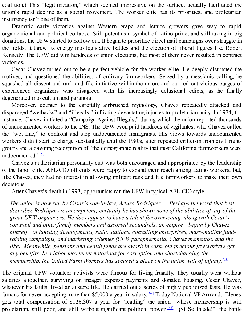coalition.) This "legitimization," which seemed impressive on the surface, actually facilitated the union's rapid decline as a social movement. The worker elite has its priorities, and proletarian insurgency isn't one of them.

Dramatic early victories against Western grape and lettuce growers gave way to rapid organizational and political collapse. Still potent as a symbol of Latino pride, and still taking in big donations, the UFW started to hollow out. It began to prioritize direct mail campaigns over struggle in the fields. It threw its energy into legislative battles and the election of liberal figures like Robert Kennedy. The UFW did win hundreds of union elections, but most of them never resulted in contract victories.

Cesar Chavez turned out to be a perfect vehicle for the worker elite. He deeply distrusted the motives, and questioned the abilities, of ordinary farmworkers. Seized by a messianic calling, he squashed all dissent and rank and file initiative within the union, and carried out vicious purges of experienced organizers who disagreed with his increasingly delusional edicts, as he finally degenerated into cultism and paranoia.

Moreover, counter to the carefully airbrushed mythology, Chavez repeatedly attacked and disparaged "wetbacks" and "illegals," inflicting devastating injuries to proletarian unity. In 1974, for instance, Chavez initiated a "Campaign Against Illegals," during which the union reported thousands of undocumented workers to the INS. The UFW even paid hundreds of vigilantes, who Chavez called the "wet line," to confront and stop undocumented immigrants. His views towards undocumented workers didn't start to change substantially until the 1980s, after repeated criticism from civil rights groups and a dawning recognition of "the demographic reality that most California farmworkers were undocumented."<sup>[\[60\]](#page-45-13)</sup>

<span id="page-27-0"></span>Chavez's authoritarian personality cult was both encouraged and appropriated by the leadership of the labor elite. AFL-CIO officials were happy to expand their reach among Latino workers, but, like Chavez, they had no interest in allowing militant rank and file farmworkers to make their own decisions.

After Chavez's death in 1993, opportunists ran the UFW in typical AFL-CIO style:

<span id="page-27-1"></span>*The union is now run by Cesar's son-in-law, Arturo Rodríquez…. Perhaps the word that best describes Rodríquez is incompetent; certainly he has shown none of the abilities of any of the great UFW organizers. He does appear to have a talent for overseeing, along with Cesar's son Paul and other family members and assorted scoundrels, an empire—begun by Chavez himself—of housing developments, radio stations, consulting enterprises, mass-mailing fundraising campaigns, and marketing schemes (UFW paraphernalia, Chavez mementos, and the like). Meanwhile, pensions and health funds are awash in cash, but precious few workers get any benefits. In a labor movement notorious for corruption and shortchanging the membership, the United Farm Workers has secured a place on the union wall of infamy. [\[61\]](#page-45-14)*

<span id="page-27-3"></span><span id="page-27-2"></span>The original UFW volunteer activists were famous for living frugally. They usually went without salaries altogether, surviving on meager expense payments and donated housing. Cesar Chavez, whatever his faults, lived an austere life. He carried out a series of highly publicized fasts. He was famous for never accepting more than \$5,000 a year in salary.<sup>[\[62\]](#page-45-15)</sup> Today National VP Armando Elenes gets total compensation of \$126,307 a year for "leading" the union—whose membership is still proletarian, still poor, and still without significant political power.<sup>[\[63\]](#page-45-16)</sup> "¡Sí Se Puede!", the battle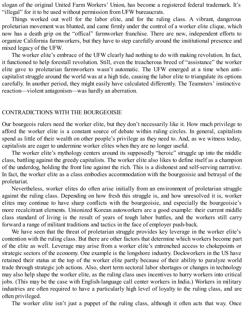slogan of the original United Farm Workers' Union, has become a registered federal trademark. It's "illegal" for it to be used without permission from UFW bureaucrats.

Things worked out well for the labor elite, and for the ruling class. A vibrant, dangerous proletarian movement was blunted, and came firmly under the control of a worker elite clique, which now has a death grip on the "offical" farmworker franchise. There are new, independent efforts to organize California farmworkers, but they have to step carefully around the institutional presence and mixed legacy of the UFW.

The worker elite's embrace of the UFW clearly had nothing to do with making revolution. In fact, it functioned to help forestall revolution. Still, even the treacherous breed of "assistance" the worker elite gave to proletarian farmworkers wasn't automatic. The UFW emerged at a time when anticapitalist struggle around the world was at a high tide, causing the labor elite to triangulate its options carefully. In another period, they might easily have calculated differently. The Teamsters' instinctive reaction—violent antagonism—was hardly an aberration.

#### <span id="page-28-0"></span>CONTRADICTIONS WITH THE BOURGEOISIE

Our bourgeois rulers need the worker elite, but they don't necessarily like it. How much privilege to afford the worker elite is a constant source of debate within ruling circles. In general, capitalists spend as little of their wealth on other people's privilege as they need to. And, as we witness today, capitalists are eager to undermine worker elites when they are no longer useful.

The worker elite's mythology centers around its supposedly "heroic" struggle up into the middle class, battling against the greedy capitalists. The worker elite also likes to define itself as a champion of the underdog, holding the front line against the rich. This is a dishonest and self-serving narrative. In fact, the worker elite as a class embodies accommodation with the bourgeoisie and betrayal of the proletariat.

Nevertheless, worker elites do often arise initially from an environment of proletarian struggle against the ruling class. Depending on how fresh this struggle is, and how unresolved it is, worker elites may continue to have sharp conflicts with the bourgeoisie, and especially the bourgeoisie's more recalcitrant elements. Unionized Korean autoworkers are a good example: their current middle class standard of living is the result of years of tough labor battles, and the workers still carry forward a range of militant traditions and tactics in the face of employer push-back.

We have seen that the threat of proletarian struggle provides key leverage in the worker elite's contention with the ruling class. But there are other factors that determine which workers become part of the elite as well. Leverage may arise from a worker elite's entrenched access to chokepoints or strategic sectors of the economy. One example is the longshore industry. Dockworkers in the US have retained their status at the top of the worker elite partly because of their ability to paralyze world trade through strategic job actions. Also, short term sectoral labor shortages or changes in technology may also help shape the worker elite, as the ruling class uses incentives to hurry workers into critical jobs. (This may be the case with English-language call center workers in India.) Workers in military industries are often required to have a particularly high level of loyalty to the ruling class, and are often privileged.

The worker elite isn't just a puppet of the ruling class, although it often acts that way. Once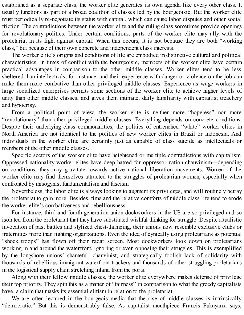established as a separate class, the worker elite generates its own agenda like every other class. It usually functions as part of a broad coalition of classes led by the bourgeoisie. But the worker elite must periodically re-negotiate its status with capital, which can cause labor disputes and other social friction. The contradictions between the worker elite and the ruling class sometimes provide openings for revolutionary politics. Under certain conditions, parts of the worker elite may ally with the proletariat in its fight against capital. When this occurs, it is not because they are both "working class," but because of their own concrete and independent class interests.

The worker elite's origins and conditions of life are embodied in distinctive cultural and political characteristics. In times of conflict with the bourgeoisie, members of the worker elite have certain practical advantages in comparison to the other middle classes. Worker elites tend to be less sheltered than intellectuals, for instance, and their experience with danger or violence on the job can make them more combative than other privileged middle classes. Experience as wage workers in large socialized enterprises permits some sections of the worker elite to achieve higher levels of unity than other middle classes, and gives them intimate, daily familiarity with capitalist treachery and hypocrisy.

From a political point of view, the worker elite is neither more "hopeless" nor more "revolutionary" than other privileged middle classes. Everything depends on concrete conditions. Despite their underlying class commonalities, the politics of entrenched "white" worker elites in North America are not identical to the politics of new worker elites in Brazil or Indonesia. And individuals in the worker elite are certainly just as capable of class suicide as intellectuals or members of the other middle classes.

Specific sectors of the worker elite have heightened or multiple contradictions with capitalism. Oppressed nationality worker elites have deep hatred for oppressor nation chauvinism—depending on conditions, they may gravitate towards active national liberation movements. Women of the worker elite may find themselves attracted to the struggles of proletarian women, especially when confronted by misogynist fundamentalism and fascism.

Nevertheless, the labor elite is always looking to augment its privileges, and will routinely betray the proletariat to gain more. Besides, time and the relative comforts of middle class life tend to erode the worker elite's combativeness and rebelliousness.

For instance, third and fourth generation union dockworkers in the US are so privileged and so isolated from the proletariat that they have substituted wishful thinking for struggle. Despite ritualistic invocation of past battles and stylized chest-thumping, their unions now resemble exclusive clubs or fraternities more than fighting organizations. Even the idea of cynically using proletarians as potential "shock troops" has flown off their radar screen. Most dockworkers look down on proletarians working in and around the waterfront, ignoring or even opposing their struggles. This is exemplified by the longshore unions' shameful, chauvinist, and strategically foolish lack of solidarity with thousands of rebellious immigrant waterfront truckers and thousands of other struggling proletarians in the logistical supply chain stretching inland from the ports.

Along with their fellow middle classes, the worker elite everywhere makes defense of privilege their top priority. They spin this as a matter of "fairness" in comparison to what the greedy capitalists have, a claim that masks its essential elitism in relation to the proletariat.

We are often lectured in the bourgeois media that the rise of middle classes is intrinsically "democratic." But this is demonstrably false. As capitalist mouthpiece Francis Fukuyama says,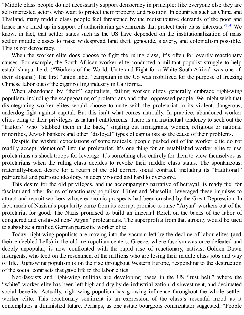<span id="page-30-0"></span>"Middle class people do not necessarily support democracy in principle: like everyone else they are self-interested actors who want to protect their property and position. In countries such as China and Thailand, many middle class people feel threatened by the redistributive demands of the poor and hence have lined up in support of authoritarian governments that protect their class interests."<sup>[\[64\]](#page-45-17)</sup> We know, in fact, that settler states such as the US have depended on the institutionalization of mass settler middle classes to make widespread land theft, genocide, slavery, and colonialism possible. This is not democracy.

When the worker elite does choose to fight the ruling class, it's often for overtly reactionary causes. For example, the South African worker elite conducted a militant populist struggle to help establish apartheid. ("Workers of the World, Unite and Fight for a White South Africa" was one of their slogans.) The first "union label" campaign in the US was mobilized for the purpose of freezing Chinese labor out of the cigar rolling industry in California.

When abandoned by "their" capitalists, failing worker elites generally embrace right-wing populism, including the scapegoating of proletarians and other oppressed people. We might wish that disintegrating worker elites would choose to unite with the proletariat in its violent, dangerous, underdog fight against capital. But this isn't what comes naturally. In practice, abandoned worker elites cling to their privileges as natural entitlements. There is an instinctual tendency to seek out the "traitors" who "stabbed them in the back," singling out immigrants, women, religious or national minorities, Jewish bankers and other "disloyal" types of capitalists as the cause of their problems.

Despite the wishful expectations of some radicals, people pushed out of the worker elite do not readily accept "demotion" into the proletariat. It's one thing for an established worker elite to use proletarians as shock troops for leverage. It's something else entirely for them to view themselves as proletarians when the ruling class decides to revoke their middle class status. The spontaneous, materially-based desire for a return of the old corrupt social contract, including its "traditional" patriarchal and patriotic ideology, is deeply rooted and hard to overcome.

This desire for the old privileges, and the accompanying narrative of betrayal, is ready fuel for fascism and other forms of reactionary populism. Hitler and Mussolini leveraged these impulses to attract and recruit workers whose economic prospects had been crushed by the Great Depression. In fact, much of Nazism's popularity came from its corrupt promise to raise "Aryan" workers out of the proletariat for good. The Nazis promised to build an imperial Reich on the backs of the labor of conquered and enslaved non-"Aryan" proletarians. The superprofits from that atrocity would be used to subsidize a rarified German parasitic worker elite.

Today, right-wing populists are moving into the vacuum left by the decline of labor elites (and their enfeebled Lefts) in the old metropolitan centers. Greece, where fascism was once defeated and deeply unpopular, is now confronted with the rapid rise of reactionary, nativist Golden Dawn insurgents, who feed on the resentment of the millions who are losing their middle class jobs and way of life. Right-wing populism is on the rise throughout Western Europe, responding to the destruction of the social contracts that gave life to the labor elites.

Neo-fascists and right-wing militias are developing bases in the US "rust belt," where the "white" worker elite has been left high and dry by de-industrialization, disinvestment, and decimated social benefits. Actually, right-wing populism has growing influence throughout the whole settler worker elite. This reactionary sentiment is an expression of the class's resentful mood as it contemplates a diminished future. Perhaps, as one astute bourgeois commentator suggested, "People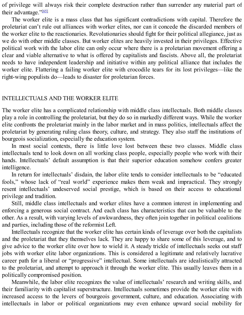<span id="page-31-1"></span>of privilege will always risk their complete destruction rather than surrender any material part of their advantage."<sup>[\[65\]](#page-45-18)</sup>

The worker elite is a mass class that has significant contradictions with capital. Therefore the proletariat can't rule out alliances with worker elites, nor can it concede the discarded members of the worker elite to the reactionaries. Revolutionaries should fight for their political allegiance, just as we do with other middle classes. But worker elites are heavily invested in their privileges. Effective political work with the labor elite can only occur where there is a proletarian movement offering a clear and viable alternative to what is offered by capitalists and fascists. Above all, the proletariat needs to have independent leadership and initiative within any political alliance that includes the worker elite. Flattering a failing worker elite with crocodile tears for its lost privileges—like the right-wing populists do—leads to disaster for proletarian forces.

#### <span id="page-31-0"></span>INTELLECTUALS AND THE WORKER ELITE

The worker elite has a complicated relationship with middle class intellectuals. Both middle classes play a role in controlling the proletariat, but they do so in markedly different ways. While the worker elite confronts the proletariat mainly in the labor market and in mass politics, intellectuals affect the proletariat by generating ruling class theory, culture, and strategy. They also staff the institutions of bourgeois socialization, especially the education system.

In most social contexts, there is little love lost between these two classes. Middle class intellectuals tend to look down on all working class people, especially people who work with their hands. Intellectuals' default assumption is that their superior education somehow confers greater intelligence.

In return for intellectuals' disdain, the labor elite tends to consider intellectuals to be "educated fools," whose lack of "real world" experience makes them weak and impractical. They strongly resent intellectuals' undeserved social prestige, which is based on their access to educational privilege and tradition.

Still, middle class intellectuals and worker elites have a common interest in implementing and enforcing a generous social contract. And each class has characteristics that can be valuable to the other. As a result, with varying levels of awkwardness, they often join together in political coalitions and parties, including those of the reformist Left.

Intellectuals recognize that the worker elite has certain kinds of leverage over both the capitalists and the proletariat that they themselves lack. They are happy to share some of this leverage, and to give advice to the worker elite over how to wield it. A steady trickle of intellectuals seeks out staff jobs with worker elite labor organizations. This is considered a legitimate and relatively lucrative career path for a liberal or "progressive" intellectual. Some intellectuals are idealistically attracted to the proletariat, and attempt to approach it through the worker elite. This usually leaves them in a politically compromised position.

Meanwhile, the labor elite recognizes the value of intellectuals' research and writing skills, and their familiarity with capitalist superstructure. Intellectuals sometimes provide the worker elite with increased access to the levers of bourgeois government, culture, and education. Associating with intellectuals in labor or political organizations may even enhance upward social mobility for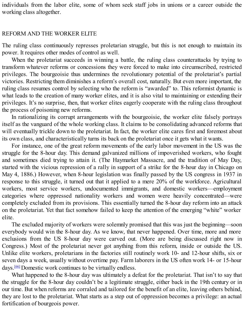<span id="page-32-0"></span>individuals from the labor elite, some of whom seek staff jobs in unions or a career outside the working class altogether.

#### REFORM AND THE WORKER ELITE

The ruling class continuously represses proletarian struggle, but this is not enough to maintain its power. It requires other modes of control as well.

When the proletariat succeeds in winning a battle, the ruling class counterattacks by trying to transform whatever reforms or concessions they were forced to make into circumscribed, restricted privileges. The bourgeoisie thus undermines the revolutionary potential of the proletariat's partial victories. Restricting them diminishes a reform's overall cost, naturally. But even more important, the ruling class resumes control by selecting who the reform is "awarded" to. This reformist dynamic is what leads to the creation of many worker elites, and it is also vital to maintaining or extending their privileges. It's no surprise, then, that worker elites eagerly cooperate with the ruling class throughout the process of poisoning new reforms.

In rationalizing its corrupt arrangements with the bourgeoisie, the worker elite falsely portrays itself as the vanguard of the whole working class. It claims to be consolidating advanced reforms that will eventually trickle down to the proletariat. In fact, the worker elite cares first and foremost about its own class, and characteristically turns its back on the proletariat once it gets what it wants.

For instance, one of the great reform movements of the early labor movement in the US was the struggle for the 8-hour day. This demand galvanized millions of impoverished workers, who fought and sometimes died trying to attain it. (The Haymarket Massacre, and the tradition of May Day, started with the vicious repression of a rally in support of a strike for the 8-hour day in Chicago on May 4, 1886.) However, when 8-hour legislation was finally passed by the US congress in 1937 in response to this struggle, it turned out that it applied to a mere 20% of the workforce. Agricultural workers, most service workers, undocumented immigrants, and domestic workers—employment categories where oppressed nationality workers and women were heavily concentrated—were completely excluded from its provisions. This essentially turned the 8-hour day reform into an attack on the proletariat. Yet that fact somehow failed to keep the attention of the emerging "white" worker elite.

The excluded majority of workers were solemnly promised that this was just the beginning—soon everybody would win the 8-hour day. As we know, that never happened. Over time, more and more exclusions from the US 8-hour day were carved out. (More are being discussed right now in Congress.) Most of the proletariat never got anything from this reform, inside or outside the US. Unlike elite workers, proletarians in the factories still routinely work 10- and 12-hour shifts, six or seven days a week, usually without overtime pay. Farm laborers in the US often work 14- or 15-hour days. [\[66\]](#page-45-19) Domestic work continues to be virtually endless.

<span id="page-32-1"></span>What happened to the 8-hour day was ultimately a defeat for the proletariat. That isn't to say that the struggle for the 8-hour day couldn't be a legitimate struggle, either back in the 19th century or in our time. But when reforms are corraled and tailored for the benefit of an elite, leaving others behind, they are lost to the proletariat. What starts as a step out of oppression becomes a privilege: an actual fortification of bourgeois power.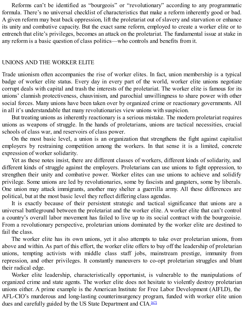Reforms can't be identified as "bourgeois" or "revolutionary" according to any programmatic formula. There's no universal checklist of characteristics that make a reform inherently good or bad. A given reform may beat back oppression, lift the proletariat out of slavery and starvation or enhance its unity and combative capacity. But the exact same reform, employed to create a worker elite or to entrench that elite's privileges, becomes an attack on the proletariat. The fundamental issue at stake in any reform is a basic question of class politics—who controls and benefits from it.

#### <span id="page-33-0"></span>UNIONS AND THE WORKER ELITE

Trade unionism often accompanies the rise of worker elites. In fact, union membership is a typical badge of worker elite status. Every day in every part of the world, worker elite unions negotiate corrupt deals with capital and trash the interests of the proletariat. The worker elite is famous for its unions' clannish protectiveness, chauvinism, and parochial unwillingness to share power with other social forces. Many unions have been taken over by organized crime or reactionary governments. All in all it's understandable that many revolutionaries view unions with suspicion.

But treating unions as inherently reactionary is a serious mistake. The modern proletariat requires unions as weapons of struggle. In the hands of proletarians, unions are tactical necessities, crucial schools of class war, and reservoirs of class power.

On the most basic level, a union is an organization that strengthens the fight against capitalist employers by restraining competition among the workers. In that sense it is a limited, concrete expression of worker solidarity.

Yet as these notes insist, there are different classes of workers, different kinds of solidarity, and different kinds of struggle against the employers. Proletarians can use unions to fight oppression, to strengthen their unity and combative power. Worker elites can use unions to achieve and solidify privilege. Some unions are led by revolutionaries, some by fascists and gangsters, some by liberals. One union may attack immigrants, another may shelter a guerrilla army. All these differences are political, but at the most basic level they reflect differing class agendas.

It is exactly because of their persistent strategic and tactical significance that unions are a universal battleground between the proletariat and the worker elite. A worker elite that can't control a country's overall labor movement has failed to live up to its social contract with the bourgeoisie. From a revolutionary perspective, proletarian unions dominated by the worker elite are destined to fail the class.

The worker elite has its own unions, yet it also attempts to take over proletarian unions, from above and within. As part of this effort, the worker elite offers to buy off the leadership of proletarian unions, tempting activists with middle class staff jobs, mainstream prestige, immunity from repression, and other privileges. It constantly maneuvers to co-opt proletarian struggles and blunt their radical edge.

<span id="page-33-1"></span>Worker elite leadership, characteristically opportunist, is vulnerable to the manipulations of organized crime and state agents. The worker elite does not hesitate to violently destroy proletarian unions either. A prime example is the American Institute for Free Labor Development (AIFLD), the AFL-CIO's murderous and long-lasting counterinsurgency program, funded with worker elite union dues and carefully guided by the US State Department and CIA.<sup>[\[67\]](#page-45-20)</sup>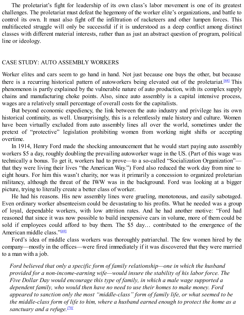The proletariat's fight for leadership of its own class's labor movement is one of its greatest challenges. The proletariat must defeat the hegemony of the worker elite's organizations, and battle to control its own. It must also fight off the infiltration of racketeers and other lumpen forces. This multifaceted struggle will only be successful if it is understood as a deep conflict among distinct classes with different material interests, rather than as just an abstract question of program, political line or ideology.

#### <span id="page-34-0"></span>CASE STUDY: AUTO ASSEMBLY WORKERS

<span id="page-34-1"></span>Worker elites and cars seem to go hand in hand. Not just because one buys the other, but because there is a recurring historical pattern of autoworkers being elevated out of the proletariat.<sup>[\[68\]](#page-45-21)</sup> This phenomenon is partly explained by the vulnerable nature of auto production, with its complex supply chains and manufacturing choke points. Also, since auto assembly is a capital intensive process, wages are a relatively small percentage of overall costs for the capitalists.

But beyond economic expediency, the link between the auto industry and privilege has its own historical continuity, as well. Unsurprisingly, this is a relentlessly male history and culture. Women have been virtually excluded from auto assembly lines all over the world, sometimes under the pretext of "protective" legislation prohibiting women from working night shifts or accepting overtime.

In 1914, Henry Ford made the shocking announcement that he would start paying auto assembly workers \$5 a day, roughly doubling the prevailing autoworker wage in the US. (Part of this wage was technically a bonus. To get it, workers had to prove—to a so-called "Socialization Organization" that they were living their lives "the American Way.") Ford also reduced the work day from nine to eight hours. For him this wasn't charity, nor was it primarily a concession to organized proletarian militancy, although the threat of the IWW was in the background. Ford was looking at a bigger picture, trying to literally create a better class of worker.

He had his reasons. His new assembly lines were grueling, monotonous, and easily sabotaged. Even ordinary worker absenteeism could be devastating to his profits. What he needed was a group of loyal, dependable workers, with low attrition rates. And he had another motive: "Ford had reasoned that since it was now possible to build inexpensive cars in volume, more of them could be sold if employees could afford to buy them. The \$5 day… contributed to the emergence of the American middle class."[\[69\]](#page-45-22)

<span id="page-34-2"></span>Ford's idea of middle class workers was thoroughly patriarchal. The few women hired by the company—mostly in the offices—were fired immediately if it was discovered that they were married to a man with a job.

<span id="page-34-3"></span>*Ford believed that only a specific form of family relationship—one in which the husband provided for a non-income-earning wife—would insure the stability of his labor force. The Five Dollar Day would encourage this type of family, in which a male wage supported a dependent family, who would then have no need to use their homes to make money. Ford appeared to sanction only the most "middle-class" form of family life, or what seemed to be the middle-class form of life to him, where a husband earned enough to protect the home as a sanctuary and a refuge. [\[70\]](#page-45-23)*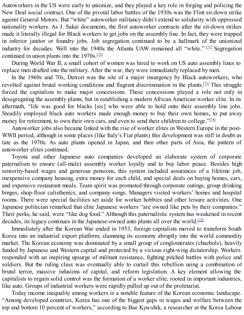Autoworkers in the US were early to unionize, and they played a key role in forging and policing the New Deal social contract. One of the pivotal labor battles of the 1930s was the Flint sit-down strike against General Motors. But "white" autoworker militancy didn't extend to solidarity with oppressed nationality workers. As J. Sakai documents, the first autoworker contracts after the sit-down strikes made it literally illegal for Black workers to get jobs on the assembly line. In fact, they were trapped in inferior janitor or foundry jobs. Job segregation continued to be a hallmark of the unionized industry for decades. Well into the 1940s the Atlanta UAW remained all "white." <sup>[\[71\]](#page-46-0)</sup> Segregation continued in union plants into the  $1970s$ .<sup>[\[72\]](#page-46-1)</sup>

<span id="page-35-1"></span><span id="page-35-0"></span>During World War II, a small cohort of women was hired to work on US auto assembly lines to replace men drafted into the military. After the war, they were immediately replaced by men.

<span id="page-35-2"></span>In the 1960s and 70s, Detroit was the site of a major insurgency by Black autoworkers, who revolted against brutal working conditions and flagrant discrimination in the plants.<sup>[\[73\]](#page-46-2)</sup> This struggle forced the capitalists to make major concessions. These concessions played a role not only in desegregating the assembly plants, but in establishing a modern African American worker elite. In its aftermath, "life was good for blacks [sic] who were able to hold onto their assembly line jobs. Steadily employed black auto workers made enough money to buy their own homes, to put away money for retirement, to own their own cars, and even to send their children to college."<sup>[\[74\]](#page-46-3)</sup>

<span id="page-35-3"></span>Autoworker jobs also became linked with the rise of worker elites in Western Europe in the post-WWII period, although in some places (like Italy's Fiat plants) this development was still in doubt as late as the 1970s. As auto plants opened in Japan, and then other parts of Asia, the pattern of autoworker elites continued.

Toyota and other Japanese auto companies developed an elaborate system of corporate paternalism to ensure (all-male) assembly worker loyalty and to buy labor peace. Besides high seniority-based wages and generous pensions, this system included assurances of a lifetime job, inexpensive company housing, extra money for each child, and special deals on buying homes, cars, and expensive restaurant meals. Team spirit was promoted through corporate outings, group drinking binges, shop-floor calisthenics, and company songs. Managers visited workers' homes and hospital rooms. There were special facilities set aside for worker hobbies and other leisure activities. One Japanese politician remarked that elite Japanese workers "are owned like pets by their companies." Their perks, he said, were "like dog food." Although this paternalistic system has weakened in recent decades, its legacy continues in the Japanese-owned auto plants all over the world.<sup>[\[75\]](#page-46-4)</sup>

<span id="page-35-4"></span>Immediately after the Korean War ended in 1953, foreign capitalists moved to transform South Korea into an industrial export platform, slamming its economy abruptly into the world commodity market. The Korean economy was dominated by a small group of conglomerates (chaebols), heavily funded by Japanese and Western capital and protected by a vicious right-wing dictatorship. Workers responded with an inspiring upsurge of militant resistance, fighting pitched battles with police and soldiers. But the ruling class was eventually able to curtail this rebellion using a combination of brutal terror, massive infusions of capital, and reform legislation. A key element allowing the capitalists to regain solid control was the formation of a worker elite, rooted in important industries, like auto. Groups of industrial workers were rapidly pulled up out of the proletariat.

Today income inequality among workers is a notable feature of the Korean economic landscape. "Among developed countries, Korea has one of the biggest gaps in wages and welfare between the top and bottom 10 percent of workers," according to Bae Kyu-shik, a researcher at the Korea Labour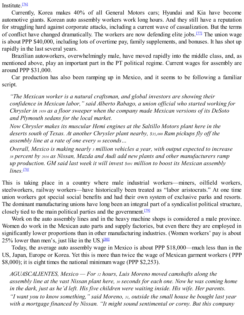<span id="page-36-0"></span>Institute.<sup>[\[76\]](#page-46-5)</sup>

<span id="page-36-1"></span>Currently, Korea makes 40% of all General Motors cars; Hyundai and Kia have become automotive giants. Korean auto assembly workers work long hours. And they still have a reputation for struggling hard against corporate attacks, including a current wave of casualization. But the terms of conflict have changed dramatically. The workers are now defending elite jobs.<sup>[\[77\]](#page-46-6)</sup> The union wage is about PPP \$40,000, including lots of overtime pay, family supplements, and bonuses. It has shot up rapidly in the last several years.

Brazilian autoworkers, overwhelmingly male, have moved rapidly into the middle class, and, as mentioned above, play an important part in the PT political regime. Current wages for assembly are around PPP \$31,000.

Car production has also been ramping up in Mexico, and it seems to be following a familiar script.

*"The Mexican worker is a natural craftsman, and global investors are showing their confidence in Mexican labor," said Alberto Rabago, a union of icial who started working for Chrysler in <sup>1959</sup> as a floor sweeper when the company made Mexican versions of its DeSoto and Plymouth sedans for the local market.*

*Now Chrysler makes its muscular Hemi engines at the Saltillo Motors plant here in the deserts south of Texas. At another Chrysler plant nearby, \$35,<sup>000</sup> Ram pickups fly of the assembly line at a rate of one every <sup>80</sup> seconds…*

<span id="page-36-2"></span>*Overall, Mexico is making nearly <sup>3</sup> million vehicles a year, with output expected to increase <sup>38</sup> percent by <sup>2016</sup> as Nissan, Mazda and Audi add new plants and other manufacturers ramp up production. GM said last week it will invest \$<sup>691</sup> million to boost its Mexican assembly lines. [\[78\]](#page-46-7)*

This is taking place in a country where male industrial workers—miners, oilfield workers, steelworkers, railway workers—have historically been treated as "labor aristocrats." At one time union workers got special social benefits and had their own system of exclusive parks and resorts. The dominant manufacturing unions have long been an integral part of a syndicalist political structure, closely tied to the main political parties and the government.<sup>[\[79\]](#page-46-8)</sup>

<span id="page-36-3"></span>Work on the auto assembly lines and in the heavy machine shops is considered a male province. Women do work in the Mexican auto parts and supply factories, but even there they are employed in significantly lower proportions than in other manufacturing industries. (Women workers' pay is about 25% lower than men's, just like in the US.)<sup>[\[80\]](#page-46-9)</sup>

Today, the average auto assembly wage in Mexico is about PPP \$18,000—much less than in the US, Japan, Europe or Korea. Yet this is more than twice the wage of Mexican garment workers ( PPP \$8,000); it is eight times the national minimum wage (PPP \$2,253).

<span id="page-36-4"></span>*AGUASCALIENTES, Mexico — For <sup>12</sup> hours, Luis Moreno moved camshafts along the assembly line at the vast Nissan plant here, <sup>30</sup> seconds for each one. Now he was coming home in the dark, just as he'd left. His five children were waiting inside. His wife. Her parents. "I want you to know something," said Moreno, <sup>31</sup>, outside the small house he bought last year with a mortgage financed by Nissan. "It might sound sentimental or corny. But this company*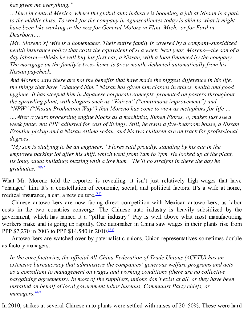*has given me everything."*

*…Here in central Mexico, where the global auto industry is booming, a job at Nissan is a path to the middle class. To work for the company in Aguascalientes today is akin to what it might have been like working in the <sup>1950</sup>s for General Motors in Flint, Mich., or for Ford in Dearborn….*

*[Mr. Moreno's] wife is a homemaker. Their entire family is covered by a company-subsidized health insurance policy that costs the equivalent of \$<sup>4</sup> a week. Next year, Moreno—the son of a day laborer—thinks he will buy his first car, a Nissan, with a loan financed by the company. The mortgage on the family's \$27,<sup>000</sup> home is \$<sup>210</sup> a month, deducted automatically from his Nissan paycheck.*

*And Moreno says these are not the benefits that have made the biggest dif erence in his life, the things that have "changed him." Nissan has given him classes in ethics, health and good hygiene. It has steeped him in Japanese corporate concepts, promoted on posters throughout the sprawling plant, with slogans such as "Kaizen" ("continuous improvement") and "NPW" ("Nissan Production Way") that Moreno has come to view as metaphors for life….*

*….After <sup>17</sup> years processing engine blocks as a machinist, Ruben Flores, <sup>47</sup>, makes just \$<sup>160</sup> a week [note: not PPP adjusted for cost of living]. Still, he owns a five-bedroom house, a Nissan Frontier pickup and a Nissan Altima sedan, and his two children are on track for professional degrees.*

<span id="page-37-0"></span>*"My son is studying to be an engineer," Flores said proudly, standing by his car in the employee parking lot after his shift, which went from 7am to 7pm. He looked up at the plant, its long, squat buildings buzzing with a low hum. "He'll go straight in there the day he graduates." [\[81\]](#page-46-10)*

What Mr. Moreno told the reporter is revealing: it isn't just relatively high wages that have "changed" him. It's a constellation of economic, social, and political factors. It's a wife at home, medical insurance, a car, a new culture.<sup>[\[82\]](#page-46-11)</sup>

<span id="page-37-1"></span>Chinese autoworkers are now facing direct competition with Mexican autoworkers, as labor costs in the two countries converge. The Chinese auto industry is heavily subsidized by the government, which has named it a "pillar industry." Pay is well above what most manufacturing workers make and is going up rapidly. One automaker in China saw wages in their plants rise from PPP \$7,270 in 2003 to PPP \$14,540 in 2010.<sup>[\[83\]](#page-47-0)</sup>

Autoworkers are watched over by paternalistic unions. Union representatives sometimes double as factory managers.

<span id="page-37-2"></span>*In the core factories, the of icial All-China Federation of Trade Unions (ACFTU) has an extensive bureaucracy that administers the companies' generous welfare programs and acts as a consultant to management on wages and working conditions (there are no collective bargaining agreements). In most of the suppliers, unions don't exist at all, or they have been installed on behalf of local government labor bureaus, Communist Party chiefs, or managers. [\[84\]](#page-47-1)*

<span id="page-37-3"></span>In 2010, strikes at several Chinese auto plants were settled with raises of 20–50%. These were hard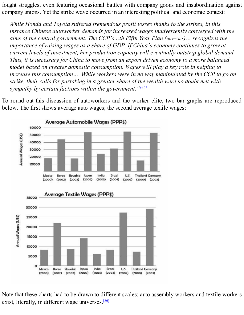fought struggles, even featuring occasional battles with company goons and insubordination against company unions. Yet the strike wave occurred in an interesting political and economic context:

*While Honda and Toyota suf ered tremendous profit losses thanks to the strikes, in this instance Chinese autoworker demands for increased wages inadvertently converged with the aims of the central government. The CCP's <sup>12</sup>th Fifth Year Plan (2011–2015)… recognizes the importance of raising wages as a share of GDP. If China's economy continues to grow at current levels of investment, her production capacity will eventually outstrip global demand. Thus, it is necessary for China to move from an export driven economy to a more balanced model based on greater domestic consumption. Wages will play a key role in helping to increase this consumption…. While workers were in no way manipulated by the CCP to go on strike, their calls for partaking in a greater share of the wealth were no doubt met with sympathy by certain factions within the government." [\[85\]](#page-47-2)*

To round out this discussion of autoworkers and the worker elite, two bar graphs are reproduced below. The first shows average auto wages; the second average textile wages:

<span id="page-38-1"></span>

<span id="page-38-2"></span><span id="page-38-0"></span>Note that these charts had to be drawn to different scales; auto assembly workers and textile workers exist, literally, in different wage universes.<sup>[\[86\]](#page-47-3)</sup>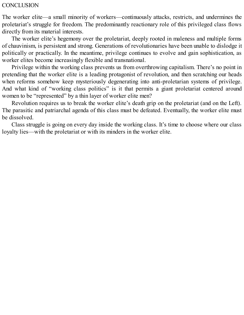#### **CONCLUSION**

The worker elite—a small minority of workers—continuously attacks, restricts, and undermines the proletariat's struggle for freedom. The predominantly reactionary role of this privileged class flows directly from its material interests.

The worker elite's hegemony over the proletariat, deeply rooted in maleness and multiple forms of chauvinism, is persistent and strong. Generations of revolutionaries have been unable to dislodge it politically or practically. In the meantime, privilege continues to evolve and gain sophistication, as worker elites become increasingly flexible and transnational.

Privilege within the working class prevents us from overthrowing capitalism. There's no point in pretending that the worker elite is a leading protagonist of revolution, and then scratching our heads when reforms somehow keep mysteriously degenerating into anti-proletarian systems of privilege. And what kind of "working class politics" is it that permits a giant proletariat centered around women to be "represented" by a thin layer of worker elite men?

Revolution requires us to break the worker elite's death grip on the proletariat (and on the Left). The parasitic and patriarchal agenda of this class must be defeated. Eventually, the worker elite must be dissolved.

<span id="page-39-0"></span>Class struggle is going on every day inside the working class. It's time to choose where our class loyalty lies—with the proletariat or with its minders in the worker elite.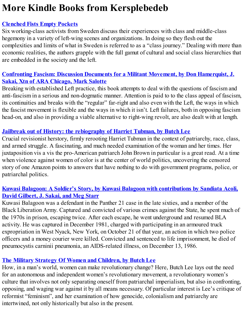# **More Kindle Books from Kersplebedeb**

## **[Clenched](http://www.amazon.com/Clenched-Fists-Pockets-Brigitta-Hyttinen-ebook/dp/B00H6UFBZG) Fists Empty Pockets**

Six working-class activists from Sweden discuss their experiences with class and middle-class hegemony in a variety of left-wing scenes and organizations. In doing so they flesh out the complexities and limits of what in Sweden is referred to as a "class journey." Dealing with more than economic realities, the authors grapple with the full gamut of cultural and social class hierarchies that are embedded in the society and the left.

## **Confronting Fascism: Discussion Documents for a Militant Movement, by Don [Hamerquist,](http://www.amazon.com/Confronting-Fascism-Discussion-Documents-Militant-ebook/dp/B00HBZ6HOU) J. Sakai, Xtn of ARA Chicago, Mark Salotte**

Breaking with established Left practice, this book attempts to deal with the questions of fascism and anti-fascism in a serious and non-dogmatic manner. Attention is paid to to the class appeal of fascism, its continuities and breaks with the "regular" far-right and also even with the Left, the ways in which the fascist movement is flexible and the ways in which it isn't. Left failures, both in opposing fascism head-on, and also in providing a viable alternative to right-wing revolt, are also dealt with at length.

## **Jailbreak out of History: the [rebiography](http://www.amazon.com/Jailbreak-out-History-re-biography-Harriet-ebook/dp/B00H1J6YJO/) of Harriet Tubman, by Butch Lee**

Crucial revisionist herstory, firmly rerooting Harriet Tubman in the context of patriarchy, race, class, and armed struggle. A fascinating, and much needed examination of the woman and her times. Her juxtaposition vis a vis the pro-American patriarch John Brown in particular is a great read. At a time when violence against women of color is at the center of world politics, uncovering the censored story of one Amazon points to answers that have nothing to do with government programs, police, or patriarchal politics.

## **Kuwasi Balagoon: A Soldier's Story, by Kuwasi Balagoon with [contributions](http://www.amazon.com/dp/B00HI50ZM8) by Sandiata Acoli, David Gilbert, J. Sakai, and Meg Starr**

Kuwasi Balagoon was a defendant in the Panther 21 case in the late sixties, and a member of the Black Liberation Army. Captured and convicted of various crimes against the State, he spent much of the 1970s in prison, escaping twice. After each escape, he went underground and resumed BLA activity. He was captured in December 1981, charged with participating in an armoured truck expropriation in West Nyack, New York, on October 21 of that year, an action in which two police officers and a money courier were killed. Convicted and sentenced to life imprisonment, he died of pneumocystis carninii pneumonia, an AIDS-related illness, on December 13, 1986.

## **The Military Strategy Of Women and [Children,](http://www.amazon.com/Military-Strategy-Women-Children-ebook/dp/B00H4J46AK) by Butch Lee**

How, in a man's world, women can make revolutionary change? Here, Butch Lee lays out the need for an autonomous and independent women's revolutionary movement, a revolutionary women's culture that involves not only separating oneself from patriarchal imperialism, but also in confronting, opposing, and waging war against it by all means necessary. Of particular interest is Lee's critique of reformist "feminism", and her examination of how genocide, colonialism and patriarchy are intertwined, not only historically but also in the present.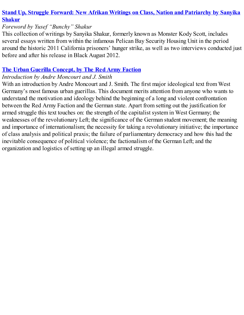## **Stand Up, Struggle Forward: New Afrikan Writings on Class, Nation and [Patriarchy](http://www.amazon.com/Stand-Struggle-Forward-Revolutionary-Patriarchy-ebook/dp/B00GZATVLI) by Sanyika Shakur**

#### *Foreword by Yusef "Bunchy" Shakur*

This collection of writings by Sanyika Shakur, formerly known as Monster Kody Scott, includes several essays written from within the infamous Pelican Bay Security Housing Unit in the period around the historic 2011 California prisoners' hunger strike, as well as two interviews conducted just before and after his release in Black August 2012.

## **The Urban Guerilla [Concept,](http://www.amazon.com/Urban-Guerilla-Concept-Army-Faction-ebook/dp/B00H1CPZ8W/) by The Red Army Faction**

#### *Introduction by Andre Moncourt and J. Smith*

With an introduction by Andre Moncourt and J. Smith. The first major ideological text from West Germany's most famous urban guerillas. This document merits attention from anyone who wants to understand the motivation and ideology behind the beginning of a long and violent confrontation between the Red Army Faction and the German state. Apart from setting out the justification for armed struggle this text touches on: the strength of the capitalist system in West Germany; the weaknesses of the revolutionary Left; the significance of the German student movement; the meaning and importance of internationalism; the necessity for taking a revolutionary initiative; the importance of class analysis and political praxis; the failure of parliamentary democracy and how this had the inevitable consequence of political violence; the factionalism of the German Left; and the organization and logistics of setting up an illegal armed struggle.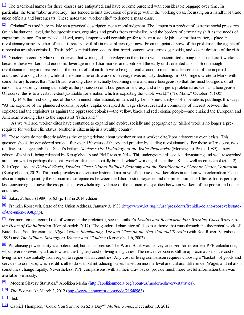<span id="page-42-0"></span> $\Box$  The traditional names for these classes are antiquated, and have become burdened with considerable baggage over time. In particular, the term "labor aristocracy" has tended to limit discussion of privilege within the working class, focussing on a handful of trade union officials and bureaucrats. These notes use "worker elite" to denote a mass class.

<span id="page-42-1"></span> $\frac{[2]}{[2]}$  $\frac{[2]}{[2]}$  $\frac{[2]}{[2]}$  "Criminal" is used here mainly as a practical description, not a moral judgment. The lumpen is a product of extreme social pressures. On an institutional level, the bourgeoisie uses, organizes and profits from criminality. And the borders of criminality shift as the needs of capitalism change. On an individual level, many lumpen would certainly prefer to have a steady job—or for that matter, a place in a revolutionary army. Neither of these is readily available in most places right now. From the point of view of the proletariat, the agents of repression are also criminals. Their "job" is intimidation, occupation, imprisonment, war crimes, genocide, and violent defense of the rich.

<span id="page-42-2"></span><sup>[\[3\]](#page-6-2)</sup> Nineteenth century Marxists observed that working class privilege (in their time) was concentrated among the skilled craft workers, because these workers had economic leverage in the labor market and controlled the early craft-oriented unions. Soon enough revolutionaries began to realize that the profits of colonialism were being spread around to much broader sections of the imperial countries' working classes, while at the same time craft workers' leverage was actually declining. In 1858, Engels wrote to Marx, with some literary license, that "the British working class is actually becoming more and more bourgeois, so that this most bourgeois of all nations is apparently aiming ultimately at the possession of a bourgeois aristocracy and a bourgeois proletariat as well as a bourgeoisie. Of course, this is to a certain extent justifiable for a nation which is exploiting the whole world." ("To Marx," October 7, 1858)

By 1919, the First Congress of the Communist International, influenced by Lenin's new analysis of imperialism, put things this way: "At the expense of the plundered colonial peoples, capital corrupted its wage slaves, created a community of interest between the exploited and the exploiters as against the oppressed colonies—the yellow, black and red colonial people—and chained the European and American working class to the imperialist 'fatherland.'"

As we willsee, worker elites have continued to expand and evolve, socially and geographically. Skilled work is no longer a prerequisite for worker elite status. Neither is citizenship in a wealthy country.

<span id="page-42-3"></span> $\frac{[4]}{[4]}$  $\frac{[4]}{[4]}$  $\frac{[4]}{[4]}$  These notes do not directly address the ongoing debate about whether or not a worker elite/labor aristocracy even exists. This question should be considered settled after over 150 years of theory and practice by leading revolutionaries. For those still in doubt, two readings are suggested: 1) J. Sakai's brilliant *Settlers: The Mythology of the White Proletariat* (Morningstar Press, 1989), a new edition of which is being released by Kersplebedeb and PM Press in 2014*.* This underground classic is a devastating and well-researched attack on what is perhaps the iconic worker elite—the socially bribed "white" working class in the US—as well as on its apologists. 2) Zak Cope's recent *Divided World, Divided Class: Global Political Economy and the Stratification of Labour Under Capitalism* (Kersplebedeb, 2012). This book provides a convincing historical narrative of the rise of worker elites in tandem with colonialism. Cope also attempts to quantify the economic discrepancies between the labor aristocracy/elite and the proletariat. The latter effort is perhaps less convincing, but nevertheless presents overwhelming evidence of the economic disparities between workers of the poorer and richer countries.

<span id="page-42-4"></span>[\[5\]](#page-8-0) Sakai, *Settlers* (1989), p. 83 (p. 188 in 2014 edition).

<span id="page-42-5"></span>[\[6\]](#page-9-1) Franklin Roosevelt, State of the Union Address, January 3, 1938 [\(http://www.let.rug.nl/usa/presidents/franklin-delano-roosevelt/state](http://www.let.rug.nl/usa/presidents/franklin-delano-roosevelt/state-of-the-union-1938.php)of-the-union-1938.php).

<span id="page-42-6"></span>[\[7\]](#page-12-1) For more on the central role of women in the proletariat, see the author's *Exodus and Reconstruction: Working-Class Women at the Heart of Globalization* (Kersplebedeb, 2012). The gendered character of class is a theme that runs through the theoretical work of Butch Lee. See, for example, *Night-Vision: Illuminating War and Class on the Neo-Colonial Terrain* (with Red Rover, Vagabond, 1993) and *The Military Strategy of Women and Children* (Kersplebedeb, 2003).

<span id="page-42-7"></span><sup>[\[8\]](#page-15-0)</sup> Purchasing power parity is a potent tool, but still imprecise. The World Bank was heavily criticized for its earliest PPP calculations, which were skewed by a bias towards the (higher) cost of living in big cities. The newer version is still an approximation, since cost of living varies substantially from region to region within countries. Any cost of living comparison requires choosing a "basket" of goods and services to compare, which is difficult to do without introducing biases based on income level and cultural difference. Wages and inflation sometimes change rapidly. Nevertheless, PPP comparisons, with all their drawbacks, provide much more useful information than was available previously.

<span id="page-42-8"></span><sup>[\[9\]](#page-15-1)</sup> "Modern Slavery Statistics," Abolition Media [\(http://abolitionmedia.org/about-us/modern-slavery-statistics\)](http://abolitionmedia.org/about-us/modern-slavery-statistics).

<span id="page-42-9"></span>[\[10\]](#page-15-2) *The Economist*, March 3, 2012 (<http://www.economist.com/node/21548963>).

<span id="page-42-10"></span>[\[11\]](#page-15-3) Ibid.

<span id="page-42-11"></span>[\[12\]](#page-15-4) Gabriel Thompson, "Could You Survive on \$2 a Day?" *Mother Jones*, December 13, 2012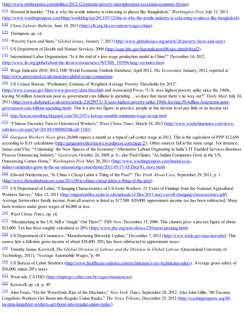([http://www.motherjones.com/politics/2012/12/extreme-poverty-unemployment-recession-economy-fresno\)](http://www.motherjones.com/politics/2012/12/extreme-poverty-unemployment-recession-economy-fresno).

<span id="page-43-0"></span>[\[13\]](#page-15-5) Howard Schneider, "This is why the textile industry is relocating to places like Bangladesh," *Washington Post*, July 12, 2013 ([http://www.washingtonpost.com/blogs/wonkblog/wp/2013/07/12/this-is-why-the-textile-industry-is-relocating-to-places-like-bangladesh\)](http://www.washingtonpost.com/blogs/wonkblog/wp/2013/07/12/this-is-why-the-textile-industry-is-relocating-to-places-like-bangladesh).

<span id="page-43-1"></span>[\[14\]](#page-15-6) *China Labour Bulletin*, June 10, 2013 (<http://clb.org.hk/en/content/wages-china>).

<span id="page-43-2"></span> $[15]$  Thompson, op. cit.

<span id="page-43-3"></span>[\[16\]](#page-15-8) "Poverty Facts and Stats," *Global Issues*, January 7, 2013 ([http://www.globalissues.org/article/26/poverty-facts-and-stats\)](http://www.globalissues.org/article/26/poverty-facts-and-stats).

<span id="page-43-4"></span>[\[17\]](#page-15-9) US Department of Health and Human Services, 2008 [\(http://aspe.hhs.gov/hsp/indicators08/apa.shtml#ftanf2\)](http://aspe.hhs.gov/hsp/indicators08/apa.shtml#ftanf2).

<span id="page-43-5"></span>[\[18\]](#page-15-10) International Labor Organization, "Is it the end of a low-wage production model in China?" December 14, 2012 ([http://www.ilo.org/global/about-the-ilo/newsroom/news/WCMS\\_192956/lang--en/index.htm](http://www.ilo.org/global/about-the-ilo/newsroom/news/WCMS_192956/lang--en/index.htm)).

<span id="page-43-6"></span>[\[19\]](#page-15-11) Wage Indicator 2010–2012, IMF World Economic Outlook Database, April 2012; *The Economist*, January, 2012, reported at <http://www.paywizard.co.uk/main/pay/global-wage-comparison>

<span id="page-43-7"></span>[\[20\]](#page-16-0) US Census Bureau, "Preliminary Estimate of Weighted Average Poverty Thresholds for 2012"

(<http://www.census.gov/hhes/www/poverty/data/threshld>) and Associated Press, "U.S. sees highest poverty spike since the 1960s, leaving 50 million Americans poor as government cuts billions in spending… so does that mean there's no way out?" *Daily Mail*, July 24, 2013 [\(http://www.dailymail.co.uk/news/article-2302997/U-S-sees-highest-poverty-spike-1960s-leaving-50-million-Americans-poor](http://www.dailymail.co.uk/news/article-2302997/U-S-sees-highest-poverty-spike-1960s-leaving-50-million-Americans-poor-government-cuts-billions-spending.html)government-cuts-billions-spending.html). This is a pre-tax figure; in practice, people at this income level pay little or no income tax.

<span id="page-43-8"></span>[\[21\]](#page-16-1) <http://koreaconsulting.blogspot.com/2012/07/s-koreas-monthly-minimum-wage-to-top.html>

<span id="page-43-9"></span>[\[22\]](#page-16-2) "Chinese Factories Turn to Outsourced Workers," *Want China Times*, March 18, 2013 ([http://w](http://www.wantchinatimes.com/news-subclass-cnt.aspx?id=20130318000020&cid=1102)ww.wantchinatimes.com/news[subclass-cnt.aspx?id=20130318000020&cid=1102\).](http://www.wantchinatimes.com/news-subclass-cnt.aspx?id=20130318000020&cid=1102)

<span id="page-43-10"></span>[\[23\]](#page-16-3) *Gurgaon Workers News* gives 20,000 rupees a month as a typical call center wage in 2012. This is the equivalent of PPP \$12,456 according to ILO calculations [\(http://gurgaonworkersnews.wordpress.com/page/2/](http://gurgaonworkersnews.wordpress.com/page/2/)). Other sources fall in the same range. For instance, James and Vira, "'Unionising' the New Spaces of the Economy? Alternative Labour Organizing in India's IT Enabled Services-Business Process Outsourcing Industry," *Geoforum*, October 26, 2009, p. 6.; also Paul Glader, "As Indian Companies Grow in the US, Outsourcing Comes Home," *Washington Post*, May 20, 2011 (http://www.washingtonpost.com/business/as[indian-companies-grow-in-the-us-outsourcing-comeshome/2011/05/17/AFZbrp7G\\_story.html\).](http://www.washingtonpost.com/business/as-%0Aindian-companies-grow-in-the-us-outsourcing-comeshome/2011/05/17/AFZbrp7G_story.html)

<span id="page-43-11"></span>[\[24\]](#page-16-4) Edward Niedermeyer, "Is China's Cheap Labor a Thing of the Past?" *The Truth About Cars*, September 29, 2011, p. 1. (<http://www.thetruthaboutcars.com/2011/09/is-chinas-cheap-labor-a-thing-of-the-past>)

<span id="page-43-12"></span><sup>[\[25\]](#page-16-5)</sup> US Department of Labor, "Changing Characteristics of US Farm Workers: 21 Years of Findings from the National Agricultural Workers Survey," May 12, 2011 [\(http://migrationfiles.ucdavis.edu/uploads/cf/files/2011-may/carroll-changing-characteristics.pdf\)](http://migrationfiles.ucdavis.edu/uploads/cf/files/2011-may/carroll-changing-characteristics.pdf). Average farmworker family income, from allsources is listed as \$17,500–\$20,000; approximate income tax has been subtracted. Many farm workers make gross wages of \$6,000 or less.

<span id="page-43-13"></span>[\[26\]](#page-16-6) *Want China Times*, op. cit.

<span id="page-43-14"></span>[\[27\]](#page-16-7) "Meatpacking in the US: Still a 'Jungle' Out There?" *PBS Now*, December 15, 2006. This citation gives a pre-tax figure of about \$23,000. Tax has been roughly calculated at 20% ([http://www.pbs.org/now/shows/250/meat-packing.html\)](http://www.pbs.org/now/shows/250/meat-packing.html).

<span id="page-43-15"></span><sup>[\[28\]](#page-16-8)</sup> US Department of Commerce, "Manufacturing Biweekly Update," December 7, 2012 [\(http://www.trade.gov/mas/ian/mbu\)](http://www.trade.gov/mas/ian/mbu). This source lists a full-time gross income of about \$38,400. 20% has been subtracted to approximate taxes.

<span id="page-43-16"></span>[\[29\]](#page-16-9) Timothy James Kerswell, *The Global Division of Labour and the Division in Global Labour* (Queensland University of Technology, 2011), "Average Automobile Wages,"p. 49.

<span id="page-43-17"></span>[\[30\]](#page-16-10) US Bureau of Labor Statistics [\(http://www.healthcare-salaries.com/technicians/x-ray-technician-salary](http://www.healthcare-salaries.com/technicians/x-ray-technician-salary)). Average gross salary of \$56,000, minus 20% taxes.

<span id="page-43-18"></span>[\[31\]](#page-16-11) Want ads, CATHO (<http://emprego.catho.com.br/vagas/manutencao>).

<span id="page-43-19"></span>[\[32\]](#page-16-12) Kerswell, op. cit. p. 49.

<span id="page-43-20"></span>[\[33\]](#page-16-13) Alan Feuer, "On the Waterfront, Rise of the Machines," *New York Times*, September 28, 2012. Also John Gillie, "80 Tacoma Longshore Workers Get Boost into Regular Union Ranks," *The News Tribune*, December 25, 2012 (http://washingtonports.org/80 [tacoma-longshore-workers-get-boost-into-regular-union-ranks/\).](http://washingtonports.org/80-tacoma-longshore-workers-get-boost-into-regular-union-ranks/)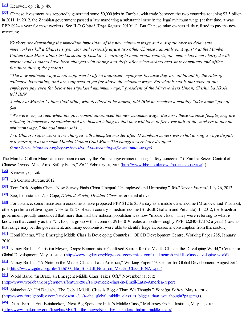<span id="page-44-0"></span> $\frac{341}{8}$  Kerswell, op. cit. p. 49.

<span id="page-44-1"></span>[\[35\]](#page-16-15) Chinese investment has reportedly generated some 50,000 jobs in Zambia, with trade between the two countries reaching \$3.5 billion in 2011. In 2012, the Zambian government passed a law mandating a substantial raise in the legal minimum wage (at that time, it was PPP \$924 a year for most workers. See ILO *Global Wage Report*, 2010/11). But Chinese mine owners flatly refused to pay the new minimum:

Workers are demanding the immediate imposition of the new minimum wage and a dispute over its delay saw mineworkers kill a Chinese supervisor and seriously injure two other Chinese nationals on August 4 at the Mamba Collum Coal Mine, about 300 km south of Lusaka. According to local media reports, one miner has been charged with murder and 11 others have been charged with rioting and theft, after mineworkers also stole computers and office *furniture during the protests.*

"The new minimum wage is not supposed to affect unionized employees because they are all bound by the rules of collective bargaining, and are supposed to get far above the minimum wage. But what is sad is that some of our *employers pay even far below the stipulated minimum wage," president of the Mineworkers Union, Chishimba Nkole, told IRIN.*

A miner at Mamba Collum Coal Mine, who declined to be named, told IRIN he receives a monthly "take home" pay of *\$80.*

"We were very excited when the government announced the new minimum wage. But now, these Chinese [employers] are refusing to increase our salaries and are instead telling us that they will have to fire over half of the workers to pay the *minimum wage," the coal miner said….*

Two Chinese supervisors were charged with attempted murder after 13 Zambian miners were shot during a wage dispute *two years ago at the same Mamba Collum Coal Mine. The charges were later dropped. [\(http://www.irinnews.org/report/](http://www.irinnews.org/report/96073/zambia-dreaming-of-a-minimum-wage)[96073](http://www.irinnews.org/report/96073/zambia-dreaming-of-a-minimum-wage)[/zambia-dreaming-of-a-minimum-wage](http://www.irinnews.org/report/96073/zambia-dreaming-of-a-minimum-wage))*

The Mamba Collum Mine has since been closed by the Zambian government, citing "safety concerns." ("Zambia Seizes Control of Chinese-Owned Mine Amid Safety Fears," *BBC*, February 20, 2013 [\(http://www.bbc.co.uk/news/business-](http://www.bbc.co.uk/news/business-21520478)[21520478](http://www.bbc.co.uk/news/business-21520478)).)

- <span id="page-44-2"></span>[\[36\]](#page-16-16) Kerswell, op. cit.
- <span id="page-44-3"></span>[\[37\]](#page-17-1) US Census Bureau, 2012.

<span id="page-44-4"></span>[\[38\]](#page-17-2) Tom Orlik, Sophia Chen, "New Survey Finds China Unequal, Unemployed and Untrusting," *Wall Street Journal*, July 26, 2013.

<span id="page-44-5"></span>[\[39\]](#page-17-3) See, for instance, Zak Cope, *Divided World, Divided Class*, referenced above.

<span id="page-44-6"></span>[\[40\]](#page-18-0) For instance, some mainstream economists have proposed PPP \$12 to \$50 a day as a middle class income (Milanovic and Yitzhaki); others prefer a relative figure: 75% to 125% of each country's median income (Birdsall, Graham and Pettinato). In 2012, the Brazilian government proudly announced that more than half the national population was now "middle class." They were referring to what is known in that country as the "C class," a group with income of 291–1019 reales a month—roughly PPP \$2,040–\$7,152 a year! (Low as that range may be, the government, and many economists, were able to identify large increases in consumption from this sector.)

<span id="page-44-7"></span>[\[41\]](#page-18-1) Homi Kharas, "The Emerging Middle Class in Developing Countries," OECD Development Centre, Working Paper 285, January 2010.

<span id="page-44-8"></span>[\[42\]](#page-18-2) Nancy Birdsall, Christian Meyer, "Oops: Economists in Confused Search for the Middle Class in the Developing World," Center for Global Development, May 31, 2012. (<http://www.cgdev.org/blog/oops-economists-confused-search-middle-class-developing-world>)

<span id="page-44-9"></span>[\[43\]](#page-19-0) Nancy Birdsall, "A Note on the Middle Class in Latin America," Working Paper <sup>303</sup>, Center for Global Development, August <sup>2012</sup>, p. 4 [\(http://www.cgdev.org/files/](http://www.cgdev.org/files/1426386_file_Birsdall_Note_on_Middle_Class_FINAL.pdf)[1426386](http://www.cgdev.org/files/1426386_file_Birsdall_Note_on_Middle_Class_FINAL.pdf)[\\_file\\_Birsdall\\_Note\\_on\\_Middle\\_Class\\_FINAL.pdf\)](http://www.cgdev.org/files/1426386_file_Birsdall_Note_on_Middle_Class_FINAL.pdf).

<span id="page-44-10"></span>[\[44\]](#page-19-1) World Bank, "In Brazil, an Emergent Middle Class Takes Off," November <sup>13</sup>, <sup>2012</sup> ([http://www.worldbank.org/en/news/feature/](http://www.worldbank.org/en/news/feature/2012/11/13/middle-class-in-Brazil-Latin-America-report)[2012](http://www.worldbank.org/en/news/feature/2012/11/13/middle-class-in-Brazil-Latin-America-report)[/](http://www.worldbank.org/en/news/feature/2012/11/13/middle-class-in-Brazil-Latin-America-report)[11](http://www.worldbank.org/en/news/feature/2012/11/13/middle-class-in-Brazil-Latin-America-report)[/](http://www.worldbank.org/en/news/feature/2012/11/13/middle-class-in-Brazil-Latin-America-report)[13](http://www.worldbank.org/en/news/feature/2012/11/13/middle-class-in-Brazil-Latin-America-report)[/middle-class-in-Brazil-Latin-America-report](http://www.worldbank.org/en/news/feature/2012/11/13/middle-class-in-Brazil-Latin-America-report)).

<span id="page-44-11"></span>[\[45\]](#page-19-2) Shimelse Ali, Uri Dadush, "The Global Middle Class is Bigger Than We Thought," *Foreign Policy*, May <sup>16</sup>, <sup>2012</sup> ([http://www.foreignpolicy.com/articles/](http://www.foreignpolicy.com/articles/2012/05/16/the_global_middle_class_is_bigger_than_we_thought?page=0,1)[2012](http://www.foreignpolicy.com/articles/2012/05/16/the_global_middle_class_is_bigger_than_we_thought?page=0,1)[/](http://www.foreignpolicy.com/articles/2012/05/16/the_global_middle_class_is_bigger_than_we_thought?page=0,1)[05](http://www.foreignpolicy.com/articles/2012/05/16/the_global_middle_class_is_bigger_than_we_thought?page=0,1)/[16](http://www.foreignpolicy.com/articles/2012/05/16/the_global_middle_class_is_bigger_than_we_thought?page=0,1)[/the\\_global\\_middle\\_class\\_is\\_bigger\\_than\\_we\\_thought?page=](http://www.foreignpolicy.com/articles/2012/05/16/the_global_middle_class_is_bigger_than_we_thought?page=0,1)[0](http://www.foreignpolicy.com/articles/2012/05/16/the_global_middle_class_is_bigger_than_we_thought?page=0,1)[,](http://www.foreignpolicy.com/articles/2012/05/16/the_global_middle_class_is_bigger_than_we_thought?page=0,1)[1](http://www.foreignpolicy.com/articles/2012/05/16/the_global_middle_class_is_bigger_than_we_thought?page=0,1)).

<span id="page-44-12"></span>[\[46\]](#page-19-3) Diana Farrell, Eric Beinhocker, "Next Big Spenders: India's Middle Class," McKinsey Global Institute, May <sup>19</sup>, <sup>2007</sup> ([http://www.mckinsey.com/Insights/MGI/In\\_the\\_news/Next\\_big\\_spenders\\_Indian\\_middle\\_class](http://www.mckinsey.com/Insights/MGI/In_the_news/Next_big_spenders_Indian_middle_class)).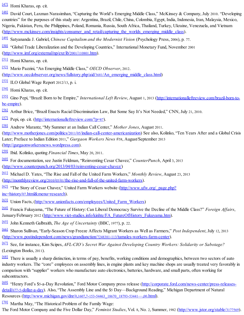<span id="page-45-0"></span> $\frac{471}{471}$  Homi Kharas, op. cit.

<span id="page-45-1"></span>[\[48\]](#page-19-5) David Court, Laxman Narasimhan, "Capturing the World's Emerging Middle Class," McKinsey & Company, July <sup>2010</sup>. "Developing countries" for the purposes of this study are: Argentina, Brazil, Chile, China, Colombia, Egypt, India, Indonesia, Iran, Malaysia, Mexico, Nigeria, Pakistan, Peru, the Philippines, Poland, Romania, Russia, South Africa, Thailand, Turkey, Ukraine, Venezuela, and Vietnam ([http://www.mckinsey.com/insights/consumer\\_and\\_retail/capturing\\_the\\_worlds\\_emerging\\_middle\\_class\)](http://www.mckinsey.com/insights/consumer_and_retail/capturing_the_worlds_emerging_middle_class).

<span id="page-45-2"></span>[\[49\]](#page-20-1) Satyananda J. Gabriel, *Chinese Capitalism and the Modernist Vision* (Psychology Press, <sup>2006</sup>), p. <sup>77</sup>.

<span id="page-45-3"></span>[\[50\]](#page-21-0) "Global Trade Liberalization and the Developing Countries," International Monetary Fund, November <sup>2001</sup> ([http://www.imf.org/external/np/exr/ib/](http://www.imf.org/external/np/exr/ib/2001/110801.htm)[2001](http://www.imf.org/external/np/exr/ib/2001/110801.htm)[/](http://www.imf.org/external/np/exr/ib/2001/110801.htm)[110801](http://www.imf.org/external/np/exr/ib/2001/110801.htm)[.htm\)](http://www.imf.org/external/np/exr/ib/2001/110801.htm).

<span id="page-45-4"></span>[\[51\]](#page-21-1) Homi Kharas, op. cit.

<span id="page-45-5"></span>[\[52\]](#page-21-2) Mario Pazzini, "An Emerging Middle Class," *OECD Observer*, <sup>2012</sup>. ([http://www.oecdobserver.org/news/fullstory.php/aid/](http://www.oecdobserver.org/news/fullstory.php/aid/3681/An_emerging_middle_class.html)[3681](http://www.oecdobserver.org/news/fullstory.php/aid/3681/An_emerging_middle_class.html)[/An\\_emerging\\_middle\\_class.html\)](http://www.oecdobserver.org/news/fullstory.php/aid/3681/An_emerging_middle_class.html)

<span id="page-45-6"></span>[\[53\]](#page-21-3) ILO Global Wage Report 2012/13, p. i.

<span id="page-45-7"></span>[\[54\]](#page-21-4) Homi Kharas, op. cit.

<span id="page-45-8"></span>[\[55\]](#page-22-0) Gino Pepi, "Brazil: Born to be Empire," *International Left Review*, August <sup>1</sup>, <sup>2013</sup> [\(http://internationalleftreview.com/brazil-born-to](http://internationalleftreview.com/brazil-born-to-be-empire)be-empire).

<span id="page-45-9"></span>[\[56\]](#page-22-1) Arthur Brice, "Brazil Enacts Racial Discrimination Law, But Some Say It's Not Needed," CNN, July <sup>21</sup>, <sup>2010</sup>.

<span id="page-45-10"></span>[\[57\]](#page-22-2) Pepi, op. cit. [\(http://internationalleftreview.com/?p=](http://internationalleftreview.com/?p=87)[87](http://internationalleftreview.com/?p=87)).

<span id="page-45-11"></span>[\[58\]](#page-23-0) Andrew Marantz, "My Summer at an Indian Call Center," *Mother Jones*, August <sup>2011</sup>. ([http://www.motherjones.com/politics/](http://www.motherjones.com/politics/2011/05/indian-call-center-americanization)[2011](http://www.motherjones.com/politics/2011/05/indian-call-center-americanization)[/](http://www.motherjones.com/politics/2011/05/indian-call-center-americanization)[05](http://www.motherjones.com/politics/2011/05/indian-call-center-americanization)[/indian-call-center-americanization\)](http://www.motherjones.com/politics/2011/05/indian-call-center-americanization) See also, Kolinko, "Ten Years After and a Global Crisis Later; Preface to Indian Edition 2011," *Gurgaon Workers News* #58, August/September 2013 (<http://gurgaonworkersnews.wordpress.com>).

<span id="page-45-12"></span>[\[59\]](#page-23-1) Ibid. Kolinko, quoting *Financial Times*, May 20, 2011.

<span id="page-45-13"></span>[\[60\]](#page-27-0) For documentation, see Justin Feldman, "Reinventing Cesar Chavez," *CounterPunch*, April <sup>3</sup>, <sup>2013</sup> ([http://www.counterpunch.org/2013/04/03/reinventing-cesar-chavez/\)](http://www.counterpunch.org/2013/04/03/reinventing-cesar-chavez/)

<span id="page-45-14"></span>[\[61\]](#page-27-1) Michael D. Yates, "The Rise and Fall of the United Farm Workers," *Monthly Review*, August <sup>23</sup>, <sup>2013</sup> ([http://monthlyreview.org/](http://monthlyreview.org/2010/05/01/the-rise-and-fall-of-the-united-farm-workers)[2010](http://monthlyreview.org/2010/05/01/the-rise-and-fall-of-the-united-farm-workers)[/](http://monthlyreview.org/2010/05/01/the-rise-and-fall-of-the-united-farm-workers)[05](http://monthlyreview.org/2010/05/01/the-rise-and-fall-of-the-united-farm-workers)[/](http://monthlyreview.org/2010/05/01/the-rise-and-fall-of-the-united-farm-workers)[01](http://monthlyreview.org/2010/05/01/the-rise-and-fall-of-the-united-farm-workers)[/the-rise-and-fall-of-the-united-farm-workers](http://monthlyreview.org/2010/05/01/the-rise-and-fall-of-the-united-farm-workers)).

<span id="page-45-15"></span> $\frac{62}{2}$  "The Story of Cesar Chavez," United Farm Workers website [\(http://www.ufw.org/\\_page.php?](http://www.ufw.org/_page.php?inc=history/07.html&menu=research) inc=history/[07](http://www.ufw.org/_page.php?inc=history/07.html&menu=research)[.html&menu=research\)](http://www.ufw.org/_page.php?inc=history/07.html&menu=research).

<span id="page-45-16"></span>[\[63\]](#page-27-3) Union Facts, [\(http://www.unionfacts.com/employees/United\\_Farm\\_Workers\)](http://www.unionfacts.com/employees/United_Farm_Workers)

<span id="page-45-17"></span>[\[64\]](#page-30-0) Francis Fukuyama, "The Future of History: Can Liberal Democracy Survive the Decline of the Middle Class?" *Foreign Affairs*, January/February 2012 ([http://www.viet-studies.info/kinhte/FA\\_FutureOfHistory\\_Fukuyama.htm\)](http://www.viet-studies.info/kinhte/FA_FutureOfHistory_Fukuyama.htm).

<span id="page-45-18"></span>[\[65\]](#page-31-1) John Kenneth Galbraith, *The Age of Uncertainty* (BBC, 1977), p. 22.

<span id="page-45-19"></span>[\[66\]](#page-32-1) Sharon Sullivan, "Early-Season Crop Freeze Affects Migrant Workers as Well as Farmers," *Post Independent*, July <sup>12</sup>, <sup>2013</sup> ([http://www.postindependent.com/news/grandjunction/](http://www.postindependent.com/news/grandjunction/7248381-113/tamales-workers-farm-center)[7248381](http://www.postindependent.com/news/grandjunction/7248381-113/tamales-workers-farm-center)[-](http://www.postindependent.com/news/grandjunction/7248381-113/tamales-workers-farm-center)[113](http://www.postindependent.com/news/grandjunction/7248381-113/tamales-workers-farm-center)[/tamales-workers-farm-center\)](http://www.postindependent.com/news/grandjunction/7248381-113/tamales-workers-farm-center).

<span id="page-45-20"></span>[\[67\]](#page-33-1) See, for instance, Kim Scipes, *AFL-CIO's Secret War Against Developing Country Workers: Solidarity or Sabotage?* (Lexington Books, 2011).

<span id="page-45-21"></span>[\[68\]](#page-34-1) There is usually a sharp distinction, in terms of pay, benefits, working conditions and demographics, between two sectors of auto industry workers. The "core" employees on assembly lines, in engine plants and key machine shops are usually treated very favorably in comparison with "supplier" workers who manufacture auto electronics, batteries, hardware, and small parts, often working for subcontractors.

<span id="page-45-22"></span><sup>[\[69\]](#page-34-2)</sup> "Henry Ford's \$5-a-Day Revolution," Ford Motor Company press release [\(http://corporate.ford.com/news-center/press-releases-](http://corporate.ford.com/news-center/press-releases-detail/677-5-dollar-a-day)detail/[677](http://corporate.ford.com/news-center/press-releases-detail/677-5-dollar-a-day)[-](http://corporate.ford.com/news-center/press-releases-detail/677-5-dollar-a-day)[5](http://corporate.ford.com/news-center/press-releases-detail/677-5-dollar-a-day)[-dollar-a-day](http://corporate.ford.com/news-center/press-releases-detail/677-5-dollar-a-day)). Also, "The Assembly Line and the \$5 Day—Background Reading," Michigan Department of Natural Resources [\(http://www.michigan.gov/dnr/](http://www.michigan.gov/dnr/0,1607,7-153-54463_18670_18793-53441--,00.html)[0](http://www.michigan.gov/dnr/0,1607,7-153-54463_18670_18793-53441--,00.html)[,](http://www.michigan.gov/dnr/0,1607,7-153-54463_18670_18793-53441--,00.html)[1607](http://www.michigan.gov/dnr/0,1607,7-153-54463_18670_18793-53441--,00.html)[,](http://www.michigan.gov/dnr/0,1607,7-153-54463_18670_18793-53441--,00.html)[7](http://www.michigan.gov/dnr/0,1607,7-153-54463_18670_18793-53441--,00.html)[-](http://www.michigan.gov/dnr/0,1607,7-153-54463_18670_18793-53441--,00.html)[153](http://www.michigan.gov/dnr/0,1607,7-153-54463_18670_18793-53441--,00.html)[-](http://www.michigan.gov/dnr/0,1607,7-153-54463_18670_18793-53441--,00.html)[54463](http://www.michigan.gov/dnr/0,1607,7-153-54463_18670_18793-53441--,00.html)[\\_](http://www.michigan.gov/dnr/0,1607,7-153-54463_18670_18793-53441--,00.html)[18670](http://www.michigan.gov/dnr/0,1607,7-153-54463_18670_18793-53441--,00.html)[\\_](http://www.michigan.gov/dnr/0,1607,7-153-54463_18670_18793-53441--,00.html)[18793](http://www.michigan.gov/dnr/0,1607,7-153-54463_18670_18793-53441--,00.html)[-](http://www.michigan.gov/dnr/0,1607,7-153-54463_18670_18793-53441--,00.html)[53441](http://www.michigan.gov/dnr/0,1607,7-153-54463_18670_18793-53441--,00.html)[—,](http://www.michigan.gov/dnr/0,1607,7-153-54463_18670_18793-53441--,00.html)[00](http://www.michigan.gov/dnr/0,1607,7-153-54463_18670_18793-53441--,00.html)[.html](http://www.michigan.gov/dnr/0,1607,7-153-54463_18670_18793-53441--,00.html)).

<span id="page-45-23"></span>[\[70\]](#page-34-3) Martha May, "The Historical Problem of the Family Wage:

The Ford Motor Company and the Five Dollar Day," *Feminist Studies*, Vol. 8, No. 2, Summer, 1982 [\(http://www.jstor.org/stable/](http://www.jstor.org/stable/3177569)[3177569](http://www.jstor.org/stable/3177569)).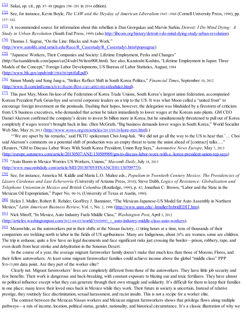<span id="page-46-0"></span>[\[71\]](#page-35-0) Sakai, op. cit., pp. 87–88 (pages 198–201 in 2014 edition).

<span id="page-46-1"></span>[\[72\]](#page-35-1) See, for instance, Kevin Boyle, *The UAW and the Heyday of American Liberalism <sup>1945</sup>–<sup>1968</sup>* (Cornell University Press, <sup>1998</sup>), pp. 157–162.

<span id="page-46-2"></span>[\[73\]](#page-35-2) A recommended source for information about this rebellion is Dan Georgakas and Marvin Surkin, *Detroit: I Do Mind Dying: A Study in Urban Revolution* (South End Press, 1999) (also <http://libcom.org/history/detroit-i-do-mind-dying-study-urban-revolution>).

<span id="page-46-3"></span>[\[74\]](#page-35-3) Thomas J. Sugrue, "On the Line: Blacks and Auto Work." ([http://www.autolife.umd.umich.edu/Race/R\\_Casestudy/R\\_Casestudy](http://www.autolife.umd.umich.edu/Race/R_Casestudy/R_Casestudy5.htm#popsugrue)[5](http://www.autolife.umd.umich.edu/Race/R_Casestudy/R_Casestudy5.htm#popsugrue)[.htm#popsugrue\)](http://www.autolife.umd.umich.edu/Race/R_Casestudy/R_Casestudy5.htm#popsugrue)

<span id="page-46-4"></span>[\[75\]](#page-35-4) "Japanese Workers, Their Companies and Society: Lifetime Employment, Perks and Changes" (http://factsanddetails.com/japan/cat24/sub156/item908.html). See also, Kazutoshi Koshiro, "Lifetime Employment in Japan: Three Models of the Concept," Foreign Labor Developments, US Bureau of Labor Statistics, August, 1984 ([http://www.bls.gov/opub/mlr/](http://www.bls.gov/opub/mlr/1984/08/rpt4full.pdf)[1984](http://www.bls.gov/opub/mlr/1984/08/rpt4full.pdf)[/](http://www.bls.gov/opub/mlr/1984/08/rpt4full.pdf)[08](http://www.bls.gov/opub/mlr/1984/08/rpt4full.pdf)[/rpt](http://www.bls.gov/opub/mlr/1984/08/rpt4full.pdf)[4](http://www.bls.gov/opub/mlr/1984/08/rpt4full.pdf)[full.pdf](http://www.bls.gov/opub/mlr/1984/08/rpt4full.pdf)).

<span id="page-46-5"></span>[\[76\]](#page-36-0) Simon Mundy and Song Jung-a, "Strikes Reflect Shift in South Korea Politics," *Financial Times*, September <sup>10</sup>, <sup>2012</sup> ([http://www.ft.com/intl/cms/s/](http://www.ft.com/intl/cms/s/0/411fcc06-fb34-11e1-a983-00144feabdc0.html)[0](http://www.ft.com/intl/cms/s/0/411fcc06-fb34-11e1-a983-00144feabdc0.html)[/](http://www.ft.com/intl/cms/s/0/411fcc06-fb34-11e1-a983-00144feabdc0.html)[411](http://www.ft.com/intl/cms/s/0/411fcc06-fb34-11e1-a983-00144feabdc0.html)[fcc](http://www.ft.com/intl/cms/s/0/411fcc06-fb34-11e1-a983-00144feabdc0.html)[06](http://www.ft.com/intl/cms/s/0/411fcc06-fb34-11e1-a983-00144feabdc0.html)[-fb](http://www.ft.com/intl/cms/s/0/411fcc06-fb34-11e1-a983-00144feabdc0.html)[34](http://www.ft.com/intl/cms/s/0/411fcc06-fb34-11e1-a983-00144feabdc0.html)[-](http://www.ft.com/intl/cms/s/0/411fcc06-fb34-11e1-a983-00144feabdc0.html)[11](http://www.ft.com/intl/cms/s/0/411fcc06-fb34-11e1-a983-00144feabdc0.html)[e](http://www.ft.com/intl/cms/s/0/411fcc06-fb34-11e1-a983-00144feabdc0.html)[1](http://www.ft.com/intl/cms/s/0/411fcc06-fb34-11e1-a983-00144feabdc0.html)[-a](http://www.ft.com/intl/cms/s/0/411fcc06-fb34-11e1-a983-00144feabdc0.html)[983](http://www.ft.com/intl/cms/s/0/411fcc06-fb34-11e1-a983-00144feabdc0.html)[-](http://www.ft.com/intl/cms/s/0/411fcc06-fb34-11e1-a983-00144feabdc0.html)[00144](http://www.ft.com/intl/cms/s/0/411fcc06-fb34-11e1-a983-00144feabdc0.html)[feabdc](http://www.ft.com/intl/cms/s/0/411fcc06-fb34-11e1-a983-00144feabdc0.html)[0](http://www.ft.com/intl/cms/s/0/411fcc06-fb34-11e1-a983-00144feabdc0.html)[.html](http://www.ft.com/intl/cms/s/0/411fcc06-fb34-11e1-a983-00144feabdc0.html)).

<span id="page-46-6"></span>[\[77\]](#page-36-1) This past May, Moon Jin-koo of the Federation of Korea Trade Unions, South Korea's largest union federation, accompanied Korean President Park Geun-hye and several corporate leaders on a trip to the US. It was what Moon called a "united front" to encourage foreign investment on the peninsula. Dashing their hopes, however, the delegation was blindsided by a firestorm of criticism from US business executives, who demanded that action be taken immediately to lower wages at the Korean auto plants. GM CEO Daniel Akerson confirmed the company's desire to invest \$8 billion more in Korea, but he simultaneously threatened to pull out of Korea completely if wages weren't brought back in line. (Ben McGrath, "Big business demands lower wages in South Korea," World Socialist Web Site, May 20, 2013 ([http://www.wsws.org/en/articles/](http://www.wsws.org/en/articles/2013/05/20/kore-m20.html)[2013](http://www.wsws.org/en/articles/2013/05/20/kore-m20.html)[/](http://www.wsws.org/en/articles/2013/05/20/kore-m20.html)[05](http://www.wsws.org/en/articles/2013/05/20/kore-m20.html)[/](http://www.wsws.org/en/articles/2013/05/20/kore-m20.html)[20](http://www.wsws.org/en/articles/2013/05/20/kore-m20.html)[/kore-m](http://www.wsws.org/en/articles/2013/05/20/kore-m20.html)[20](http://www.wsws.org/en/articles/2013/05/20/kore-m20.html)[.html](http://www.wsws.org/en/articles/2013/05/20/kore-m20.html)).)

"'We are upset by his remarks,' said FKTU spokesman ChoiJong-hak. 'We did not go all the way to the US to hear that.'… Choi said Akerson's comments on a potential shift of production was an empty threat to tame the union ahead of [contract] talks...." (Reuters, "GM to Discuss Labor Woes With South Korea President, Union Rep Says," *Automotive News Europe*, May 7, 2013 ([http://europe.autonews.com/article/20130507/ANE/130509909/gm-to-discuss-labor-woes-with-s.-korea-president-union-rep-says\)](http://europe.autonews.com/article/20130507/ANE/130509909/gm-to-discuss-labor-woes-with-s.-korea-president-union-rep-says)

<span id="page-46-7"></span>[\[78\]](#page-36-2) "Auto Boom in Mexico Worries US Workers, Unions," *Macomb Daily*, July <sup>18</sup>, <sup>2013</sup> (<http://www.macombdaily.com/article/MD/20130705/FINANCE01/130709773>).

<span id="page-46-8"></span>[\[79\]](#page-36-3) See, for instance, America M. Kiddle and María L.O. Muñoz eds., *Populism in Twentieth Century Mexico: The Presidencies of Lázaro Cárdenas and Luis Echeverría* (University of Arizona Press, 2010); Steve Dubb, *Logics of Resistance: Globalization and Telephone Unionism in Mexico and British Columbia* (Routledge, 1999), p. 82; Jonathan C. Brown, "Labor and the State in the Mexican Oil Expropriation," Paper No. 90-10, (University of Texas at Austin, 1990).

<span id="page-46-9"></span>[\[80\]](#page-36-4) Helen J. Muller, Robert R. Rehder, Geoffrey J. Bannister, "The Mexican-Japanese-US Model for Auto Assembly in Northern Mexico," *Latin American Business Review*, Vol. 1, No. 2, 1998 (<http://www.unm.edu/~hmuller/hybridEDIT.htm>).

<span id="page-46-10"></span>[\[81\]](#page-37-0) Nick Miroff, "In Mexico, Auto Industry Fuels Middle Class," *Washington Post*, April <sup>3</sup>, <sup>2012</sup> ([http://articles.washingtonpost.com/](http://articles.washingtonpost.com/2012-04-03/world/35450993_1_auto-industry-middle-class-auto-workers)[2012](http://articles.washingtonpost.com/2012-04-03/world/35450993_1_auto-industry-middle-class-auto-workers)[-](http://articles.washingtonpost.com/2012-04-03/world/35450993_1_auto-industry-middle-class-auto-workers)[04](http://articles.washingtonpost.com/2012-04-03/world/35450993_1_auto-industry-middle-class-auto-workers)[-](http://articles.washingtonpost.com/2012-04-03/world/35450993_1_auto-industry-middle-class-auto-workers)[03](http://articles.washingtonpost.com/2012-04-03/world/35450993_1_auto-industry-middle-class-auto-workers)[/world/](http://articles.washingtonpost.com/2012-04-03/world/35450993_1_auto-industry-middle-class-auto-workers)[35450993](http://articles.washingtonpost.com/2012-04-03/world/35450993_1_auto-industry-middle-class-auto-workers)[\\_](http://articles.washingtonpost.com/2012-04-03/world/35450993_1_auto-industry-middle-class-auto-workers)[1](http://articles.washingtonpost.com/2012-04-03/world/35450993_1_auto-industry-middle-class-auto-workers)[\\_auto-industry-middle-class-auto-workers\)](http://articles.washingtonpost.com/2012-04-03/world/35450993_1_auto-industry-middle-class-auto-workers).

<span id="page-46-11"></span>[\[82\]](#page-37-1) Meanwhile, as the autoworkers put in their shifts at the Nissan factory, 12 tiring hours at a time, tens of thousands of their compatriots are trekking north to labor in the fields of US agribusiness. Many are Indigenous, about 28% are women, some are children. The trip is arduous; quite a few have no legal documents and face significant risks just crossing the border—prison, robbery, rape, and even death from heat stroke and dehydration in the Sonoran Desert.

In the course of a year, the average migrant farmworker family doesn't make that much less than those of Moreno, Flores, and their fellow autoworkers. At least some migrant farmworker families could achieve income above the global "middle class" PPP \$10-15,000 data point. Are they part of the worker elite?

Clearly not. Migrant farmworkers' lives are completely different from those of the autoworkers. They have little job security and few benefits. Their work is dangerous and back-breaking, with constant exposure to blazing sun and toxic fertilizers. They have almost no political influence except what they can generate through their own struggle and solidarity. It's difficult for them to keep their families in one place; many leave their loved ones back in Mexico while they work. Their future in society is uncertain. Instead of relative prestige, they routinely face discrimination, sexual harassment, and racist insults. This is not a recipe for a worker elite.

The contrast between the Mexican Nissan workers and Mexican migrant farmworkers shows that privilege flows along multiple pathways—a mix of income, location, political status, gender, nationality, and historical circumstance. It's a classic illustration of why we